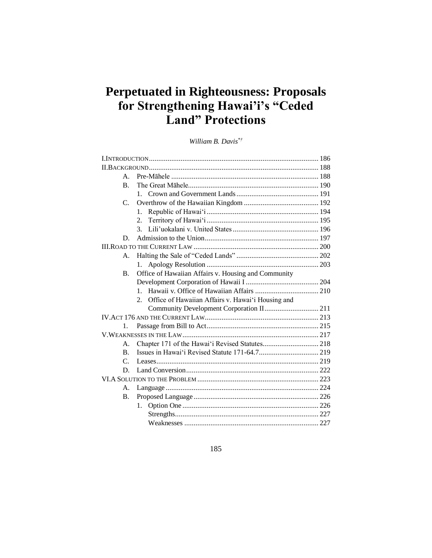# **Perpetuated in Righteousness: Proposals for Strengthening Hawai'i's "Ceded Land" Protections**

*William B. Davis\*†* 

| $\mathsf{A}$ .  |                                                         |  |  |  |  |
|-----------------|---------------------------------------------------------|--|--|--|--|
| $\mathbf{B}$ .  |                                                         |  |  |  |  |
|                 |                                                         |  |  |  |  |
| C.              |                                                         |  |  |  |  |
|                 | 1.                                                      |  |  |  |  |
|                 | 2.                                                      |  |  |  |  |
|                 | $\mathcal{E}$                                           |  |  |  |  |
| D.              |                                                         |  |  |  |  |
|                 |                                                         |  |  |  |  |
| A.              |                                                         |  |  |  |  |
|                 | 1.                                                      |  |  |  |  |
| <b>B.</b>       | Office of Hawaiian Affairs v. Housing and Community     |  |  |  |  |
|                 |                                                         |  |  |  |  |
|                 | 1                                                       |  |  |  |  |
|                 | Office of Hawaiian Affairs v. Hawai'i Housing and<br>2. |  |  |  |  |
|                 | Community Development Corporation II 211                |  |  |  |  |
|                 |                                                         |  |  |  |  |
| $1_{-}$         |                                                         |  |  |  |  |
|                 |                                                         |  |  |  |  |
| $\mathsf{A}$ .  |                                                         |  |  |  |  |
| $\mathbf{B}$ .  |                                                         |  |  |  |  |
| $\mathcal{C}$ . |                                                         |  |  |  |  |
| D.              |                                                         |  |  |  |  |
|                 |                                                         |  |  |  |  |
| A.              |                                                         |  |  |  |  |
| Β.              |                                                         |  |  |  |  |
|                 | 1.                                                      |  |  |  |  |
|                 |                                                         |  |  |  |  |
|                 |                                                         |  |  |  |  |

# 185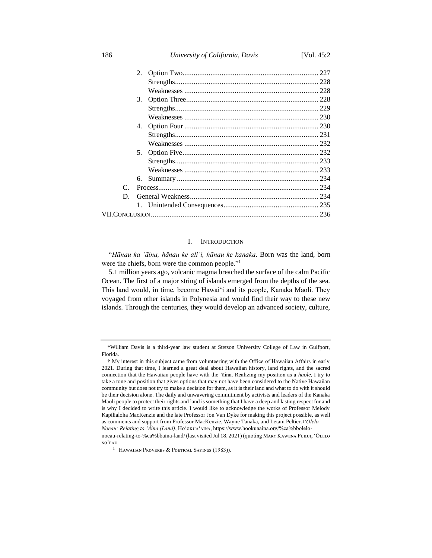186 *University of California, Davis* [Vol. 45:2

| $\mathcal{C}$ |  |  |  |
|---------------|--|--|--|
| D.            |  |  |  |
|               |  |  |  |
|               |  |  |  |
|               |  |  |  |

#### I. INTRODUCTION

"*Hānau ka ʻāina, hānau ke aliʻi, hānau ke kanaka*. Born was the land, born were the chiefs, born were the common people."<sup>1</sup>

5.1 million years ago, volcanic magma breached the surface of the calm Pacific Ocean. The first of a major string of islands emerged from the depths of the sea. This land would, in time, become Hawaiʻi and its people, Kanaka Maoli. They voyaged from other islands in Polynesia and would find their way to these new islands. Through the centuries, they would develop an advanced society, culture,

<sup>\*</sup>William Davis is a third-year law student at Stetson University College of Law in Gulfport, Florida.

<sup>†</sup> My interest in this subject came from volunteering with the Office of Hawaiian Affairs in early 2021. During that time, I learned a great deal about Hawaiian history, land rights, and the sacred connection that the Hawaiian people have with the 'āina. Realizing my position as a *haole*, I try to take a tone and position that gives options that may not have been considered to the Native Hawaiian community but does not try to make a decision for them, as it is their land and what to do with it should be their decision alone. The daily and unwavering commitment by activists and leaders of the Kanaka Maoli people to protect their rights and land is something that I have a deep and lasting respect for and is why I decided to write this article. I would like to acknowledge the works of Professor Melody Kapilialoha MacKenzie and the late Professor Jon Van Dyke for making this project possible, as well as comments and support from Professor MacKenzie, Wayne Tanaka, and Letani Peltier. <sup>1</sup>*ʻŌlelo Noeau: Relating to 'Āina (Land)*, Ho'okuA'AINA, https://www.hookuaaina.org/%ca%bbolelonoeau-relating-to-%ca%bbaina-land/ (last visited Jul 18, 2021) (quoting MARY KAWENA PUKUI, 'ŌLELO NO'EAU

<sup>&</sup>lt;sup>1</sup> Hawaiian Proverbs & Poetical Sayings (1983)).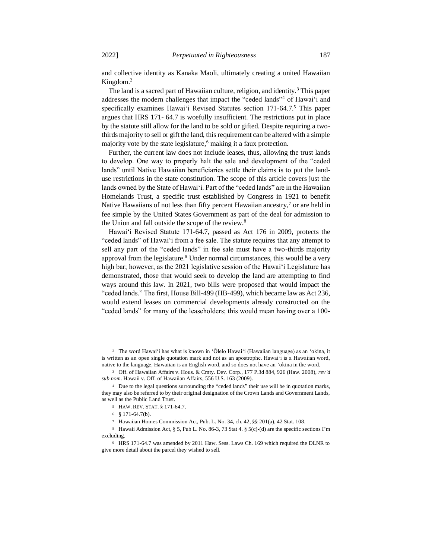and collective identity as Kanaka Maoli, ultimately creating a united Hawaiian Kingdom.<sup>2</sup>

The land is a sacred part of Hawaiian culture, religion, and identity.<sup>3</sup> This paper addresses the modern challenges that impact the "ceded lands"<sup>4</sup> of Hawaiʻi and specifically examines Hawaiʻi Revised Statutes section 171-64.7.<sup>5</sup> This paper argues that HRS 171- 64.7 is woefully insufficient. The restrictions put in place by the statute still allow for the land to be sold or gifted. Despite requiring a twothirds majority to sell or gift the land, this requirement can be altered with a simple majority vote by the state legislature, $6$  making it a faux protection.

Further, the current law does not include leases, thus, allowing the trust lands to develop. One way to properly halt the sale and development of the "ceded lands" until Native Hawaiian beneficiaries settle their claims is to put the landuse restrictions in the state constitution. The scope of this article covers just the lands owned by the State of Hawaiʻi. Part of the "ceded lands" are in the Hawaiian Homelands Trust, a specific trust established by Congress in 1921 to benefit Native Hawaiians of not less than fifty percent Hawaiian ancestry, $\frac{7}{7}$  or are held in fee simple by the United States Government as part of the deal for admission to the Union and fall outside the scope of the review.<sup>8</sup>

Hawaiʻi Revised Statute 171-64.7, passed as Act 176 in 2009, protects the "ceded lands" of Hawaiʻi from a fee sale. The statute requires that any attempt to sell any part of the "ceded lands" in fee sale must have a two-thirds majority approval from the legislature.<sup>9</sup> Under normal circumstances, this would be a very high bar; however, as the 2021 legislative session of the Hawaiʻi Legislature has demonstrated, those that would seek to develop the land are attempting to find ways around this law. In 2021, two bills were proposed that would impact the "ceded lands." The first, House Bill-499 (HB-499), which became law as Act 236, would extend leases on commercial developments already constructed on the "ceded lands" for many of the leaseholders; this would mean having over a 100-

<sup>4</sup> Due to the legal questions surrounding the "ceded lands" their use will be in quotation marks, they may also be referred to by their original designation of the Crown Lands and Government Lands, as well as the Public Land Trust.

<sup>2</sup> The word Hawaiʻi has what is known in 'Ōlelo Hawaiʻi (Hawaiian language) as an 'okina, it is written as an open single quotation mark and not as an apostrophe. Hawaiʻi is a Hawaiian word, native to the language, Hawaiian is an English word, and so does not have an 'okina in the word.

<sup>3</sup> Off. of Hawaiian Affairs v. Hous. & Cmty. Dev. Corp., 177 P.3d 884, 926 (Haw. 2008), *rev'd sub nom.* Hawaii v. Off. of Hawaiian Affairs, 556 U.S. 163 (2009).

<sup>5</sup> HAW. REV. STAT. § 171-64.7.

<sup>6</sup> § 171-64.7(b).

<sup>7</sup> Hawaiian Homes Commission Act, Pub. L. No. 34, ch. 42, §§ 201(a), 42 Stat. 108.

<sup>8</sup> Hawaii Admission Act, § 5, Pub L. No. 86-3, 73 Stat 4. § 5(c)-(d) are the specific sections I'm excluding.

<sup>9</sup> HRS 171-64.7 was amended by 2011 Haw. Sess. Laws Ch. 169 which required the DLNR to give more detail about the parcel they wished to sell.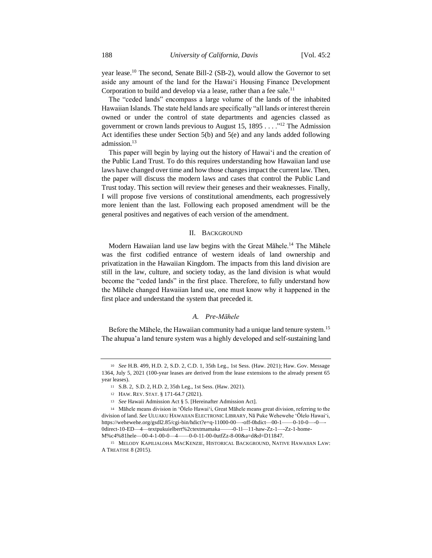year lease.<sup>10</sup> The second, Senate Bill-2 (SB-2), would allow the Governor to set aside any amount of the land for the Hawaiʻi Housing Finance Development Corporation to build and develop via a lease, rather than a fee sale.<sup>11</sup>

The "ceded lands" encompass a large volume of the lands of the inhabited Hawaiian Islands. The state held lands are specifically "all lands or interest therein owned or under the control of state departments and agencies classed as government or crown lands previous to August 15,  $1895...$ <sup>12</sup> The Admission Act identifies these under Section 5(b) and 5(e) and any lands added following admission.<sup>13</sup>

This paper will begin by laying out the history of Hawaiʻi and the creation of the Public Land Trust. To do this requires understanding how Hawaiian land use laws have changed over time and how those changes impact the current law. Then, the paper will discuss the modern laws and cases that control the Public Land Trust today. This section will review their geneses and their weaknesses. Finally, I will propose five versions of constitutional amendments, each progressively more lenient than the last. Following each proposed amendment will be the general positives and negatives of each version of the amendment.

## II. BACKGROUND

Modern Hawaiian land use law begins with the Great Māhele.<sup>14</sup> The Māhele was the first codified entrance of western ideals of land ownership and privatization in the Hawaiian Kingdom. The impacts from this land division are still in the law, culture, and society today, as the land division is what would become the "ceded lands" in the first place. Therefore, to fully understand how the Māhele changed Hawaiian land use, one must know why it happened in the first place and understand the system that preceded it.

# *A. Pre-Māhele*

Before the Māhele, the Hawaiian community had a unique land tenure system.<sup>15</sup> The ahupua'a land tenure system was a highly developed and self-sustaining land

<sup>10</sup> *See* H.B. 499, H.D. 2, S.D. 2, C.D. 1, 35th Leg., 1st Sess. (Haw. 2021); Haw. Gov. Message 1364, July 5, 2021 (100-year leases are derived from the lease extensions to the already present 65 year leases).

<sup>11</sup> S.B. 2, S.D. 2, H.D. 2, 35th Leg., 1st Sess. (Haw. 2021).

<sup>12</sup> HAW. REV. STAT. § 171-64.7 (2021).

<sup>13</sup> *See* Hawaii Admission Act § 5. [Hereinafter Admission Act].

<sup>14</sup> Māhele means division in 'Ōlelo Hawaiʻi, Great Māhele means great division, referring to the division of land. *See* ULUAKU HAWAIIAN ELECTRONIC LIBRARY, Nā Puke Wehewehe ʻŌlelo Hawaiʻi, https://wehewehe.org/gsdl2.85/cgi-bin/hdict?e=q-11000-00—-off-0hdict—00-1——0-10-0—-0—- 0direct-10-ED—4—textpukuielbert%2ctextmamaka——-0-1l—11-haw-Zz-1—-Zz-1-home-M%c4%81hele—00-4-1-00-0—4——0-0-11-00-0utfZz-8-00&a=d&d=D11847.

<sup>15</sup> MELODY KAPILIALOHA MACKENZIE, HISTORICAL BACKGROUND, NATIVE HAWAIIAN LAW: A TREATISE 8 (2015).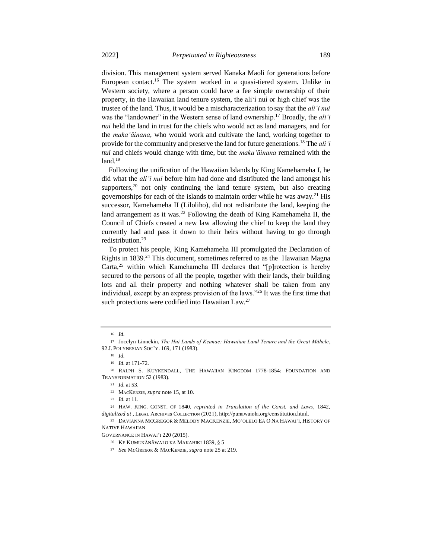division. This management system served Kanaka Maoli for generations before European contact.<sup>16</sup> The system worked in a quasi-tiered system. Unlike in Western society, where a person could have a fee simple ownership of their property, in the Hawaiian land tenure system, the aliʻi nui or high chief was the trustee of the land. Thus, it would be a mischaracterization to say that the *aliʻi nui* was the "landowner" in the Western sense of land ownership.<sup>17</sup> Broadly, the *aliʻi nui* held the land in trust for the chiefs who would act as land managers, and for the *makaʻāinana*, who would work and cultivate the land, working together to provide for the community and preserve the land for future generations.<sup>18</sup> The *aliʻi nui* and chiefs would change with time, but the *makaʻāinana* remained with the  $land.<sup>19</sup>$ 

Following the unification of the Hawaiian Islands by King Kamehameha I, he did what the *ali'i nui* before him had done and distributed the land amongst his supporters, $20$  not only continuing the land tenure system, but also creating governorships for each of the islands to maintain order while he was away.<sup>21</sup> His successor, Kamehameha II (Liloliho), did not redistribute the land, keeping the land arrangement as it was.<sup>22</sup> Following the death of King Kamehameha II, the Council of Chiefs created a new law allowing the chief to keep the land they currently had and pass it down to their heirs without having to go through redistribution.<sup>23</sup>

To protect his people, King Kamehameha III promulgated the Declaration of Rights in 1839.<sup>24</sup> This document, sometimes referred to as the Hawaiian Magna Carta,<sup>25</sup> within which Kamehameha III declares that "[p]rotection is hereby secured to the persons of all the people, together with their lands, their building lots and all their property and nothing whatever shall be taken from any individual, except by an express provision of the laws."<sup>26</sup> It was the first time that such protections were codified into Hawaiian Law.<sup>27</sup>

<sup>24</sup> HAW. KING. CONST. OF 1840, *reprinted in Translation of the Const. and Laws*, 1842, digitalized at, LEGAL ARCHIVES COLLECTION (2021), http://punawaiola.org/constitution.html.

<sup>25</sup> DAVIANNA MCGREGOR & MELODY MACKENZIE, MOʻOLELO EA O NĀ HAWAIʻI, HISTORY OF NATIVE HAWAIIAN

GOVERNANCE IN HAWAI'I 220 (2015).

<sup>27</sup> *See* MᴄGʀᴇɢᴏʀ & MᴀᴄKᴇɴᴢɪᴇ, *supra* note 25 at 219.

<sup>16</sup> *Id.*

<sup>17</sup> Jocelyn Linnekin, *The Hui Lands of Keanae: Hawaiian Land Tenure and the Great Māhele*, 92 J. POLYNESIAN SOC'Y. 169, 171 (1983).

<sup>18</sup> *Id.*

<sup>19</sup> *Id.* at 171-72.

<sup>20</sup> RALPH S. KUYKENDALL, THE HAWAIIAN KINGDOM 1778-1854: FOUNDATION AND TRANSFORMATION 52 (1983).

<sup>21</sup> *Id.* at 53.

<sup>&</sup>lt;sup>22</sup> MACKENZIE, *supra* note 15, at 10.

<sup>23</sup> *Id.* at 11.

<sup>26</sup> KE KUMUKÄNÄWAI O KA MAKAHIKI 1839, § 5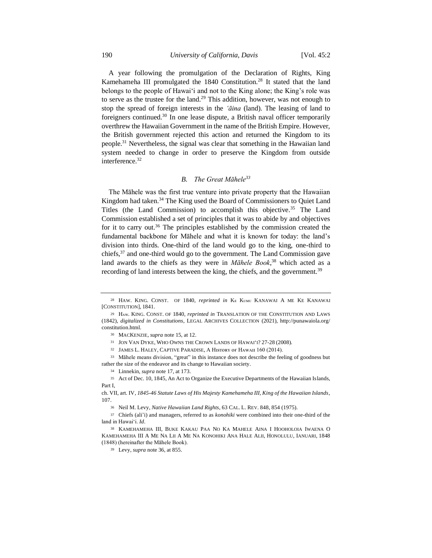A year following the promulgation of the Declaration of Rights, King Kamehameha III promulgated the 1840 Constitution.<sup>28</sup> It stated that the land belongs to the people of Hawaiʻi and not to the King alone; the King's role was to serve as the trustee for the land.<sup>29</sup> This addition, however, was not enough to stop the spread of foreign interests in the *'āina* (land). The leasing of land to foreigners continued.<sup>30</sup> In one lease dispute, a British naval officer temporarily overthrew the Hawaiian Government in the name of the British Empire. However, the British government rejected this action and returned the Kingdom to its people.<sup>31</sup> Nevertheless, the signal was clear that something in the Hawaiian land system needed to change in order to preserve the Kingdom from outside interference.<sup>32</sup>

# *B. The Great Māhele<sup>33</sup>*

The Māhele was the first true venture into private property that the Hawaiian Kingdom had taken.<sup>34</sup> The King used the Board of Commissioners to Quiet Land Titles (the Land Commission) to accomplish this objective.<sup>35</sup> The Land Commission established a set of principles that it was to abide by and objectives for it to carry out.<sup>36</sup> The principles established by the commission created the fundamental backbone for Māhele and what it is known for today: the land's division into thirds. One-third of the land would go to the king, one-third to chiefs,<sup>37</sup> and one-third would go to the government. The Land Commission gave land awards to the chiefs as they were in *Māhele Book*, <sup>38</sup> which acted as a recording of land interests between the king, the chiefs, and the government.<sup>39</sup>

<sup>&</sup>lt;sup>28</sup> HAW. KING. CONST. OF 1840, *reprinted in* KE KUMU KANAWAI A ME KE KANAWAI [CONSTITUTION], 1841.

<sup>&</sup>lt;sup>29</sup> HAW. KING. CONST. OF 1840, *reprinted in* TRANSLATION OF THE CONSTITUTION AND LAWS (1842), *digitalized in Constitutions*, LEGAL ARCHIVES COLLECTION (2021), http://punawaiola.org/ constitution.html.

<sup>30</sup> MACKENZIE, *supra* note 15, at 12.

<sup>31</sup> JON VAN DYKE, WHO OWNS THE CROWN LANDS OF HAWAIʻI? 27-28 (2008).

<sup>32</sup> JAMES L. HALEY, CAPTIVE PARADISE, A HISTORY OF HAWAII 160 (2014).

<sup>&</sup>lt;sup>33</sup> Māhele means division, "great" in this instance does not describe the feeling of goodness but rather the size of the endeavor and its change to Hawaiian society.

<sup>34</sup> Linnekin, *supra* note 17, at 173.

<sup>35</sup> Act of Dec. 10, 1845, An Act to Organize the Executive Departments of the Hawaiian Islands, Part I,

ch. VII, art. IV, *1845-46 Statute Laws of His Majesty Kamehameha III, King of the Hawaiian Islands*, 107.

<sup>36</sup> Neil M. Levy, *Native Hawaiian Land Rights*, 63 CAL. L. REV. 848, 854 (1975).

<sup>37</sup> Chiefs (ali'i) and managers, referred to as *konohiki* were combined into their one-third of the land in Hawaiʻi. *Id*.

<sup>38</sup> KAMEHAMEHA III, BUKE KAKAU PAA NO KA MAHELE AINA I HOOHOLOIA IWAENA O KAMEHAMEHA III A ME NA LII A ME NA KONOHIKI ANA HALE ALII, HONOLULU, IANUARI, 1848 (1848) (hereinafter the Māhele Book).

<sup>39</sup> Levy, *supra* note 36, at 855.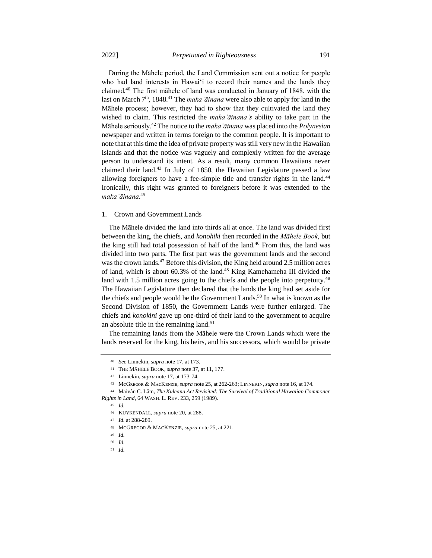During the Māhele period, the Land Commission sent out a notice for people who had land interests in Hawaiʻi to record their names and the lands they claimed.<sup>40</sup> The first māhele of land was conducted in January of 1848, with the last on March 7th, 1848.<sup>41</sup> The *maka'āinana* were also able to apply for land in the Māhele process; however, they had to show that they cultivated the land they wished to claim. This restricted the *maka'āinana's* ability to take part in the Māhele seriously.<sup>42</sup> The notice to the *maka'āinana* was placed into the *Polynesian* newspaper and written in terms foreign to the common people. It is important to note that at this time the idea of private property was still very new in the Hawaiian Islands and that the notice was vaguely and complexly written for the average person to understand its intent. As a result, many common Hawaiians never claimed their land.<sup>43</sup> In July of 1850, the Hawaiian Legislature passed a law allowing foreigners to have a fee-simple title and transfer rights in the land.<sup>44</sup> Ironically, this right was granted to foreigners before it was extended to the *maka'āinana*. 45

#### 1. Crown and Government Lands

The Māhele divided the land into thirds all at once. The land was divided first between the king, the chiefs, and *konohiki* then recorded in the *Māhele Book*, but the king still had total possession of half of the land.<sup>46</sup> From this, the land was divided into two parts. The first part was the government lands and the second was the crown lands.<sup>47</sup> Before this division, the King held around 2.5 million acres of land, which is about 60.3% of the land.<sup>48</sup> King Kamehameha III divided the land with 1.5 million acres going to the chiefs and the people into perpetuity.<sup>49</sup> The Hawaiian Legislature then declared that the lands the king had set aside for the chiefs and people would be the Government Lands.<sup>50</sup> In what is known as the Second Division of 1850, the Government Lands were further enlarged. The chiefs and *konokini* gave up one-third of their land to the government to acquire an absolute title in the remaining land. $51$ 

The remaining lands from the Māhele were the Crown Lands which were the lands reserved for the king, his heirs, and his successors, which would be private

<sup>51</sup> *Id.*

<sup>40</sup> *See* Linnekin, *supra* note 17, at 173.

<sup>41</sup> THE MĀHELE BOOK, *supra* note 37, at 11, 177.

<sup>42</sup> Linnekin, *supra* note 17, at 173-74.

<sup>43</sup> MᴄGʀᴇɢᴏʀ & MᴀᴄKᴇɴᴢɪᴇ, *supra* note 25, at 262-263; LINNEKIN, *supra* note 16, at 174.

<sup>44</sup> Maivân C. Lâm, *The Kuleana Act Revisited: The Survival of Traditional Hawaiian Commoner Rights in Land*, 64 WASH. L. REV. 233, 259 (1989).

<sup>45</sup> *Id.*

<sup>46</sup> KUYKENDALL, *supra* note 20, at 288.

<sup>47</sup> *Id.* at 288-289.

<sup>48</sup> MCGREGOR & MACKENZIE, *supra* note 25, at 221.

<sup>49</sup> *Id.*

<sup>50</sup> *Id.*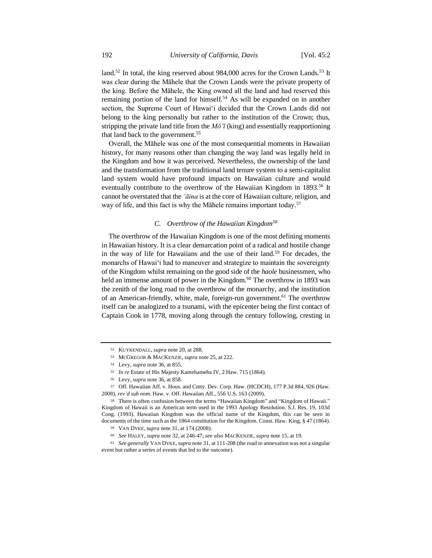land.<sup>52</sup> In total, the king reserved about 984,000 acres for the Crown Lands.<sup>53</sup> It was clear during the Māhele that the Crown Lands were the private property of the king. Before the Māhele, the King owned all the land and had reserved this remaining portion of the land for himself.<sup>54</sup> As will be expanded on in another section, the Supreme Court of Hawaiʻi decided that the Crown Lands did not belong to the king personally but rather to the institution of the Crown; thus, stripping the private land title from the *Mō'ī* (king) and essentially reapportioning that land back to the government.<sup>55</sup>

Overall, the Māhele was one of the most consequential moments in Hawaiian history, for many reasons other than changing the way land was legally held in the Kingdom and how it was perceived. Nevertheless, the ownership of the land and the transformation from the traditional land tenure system to a semi-capitalist land system would have profound impacts on Hawaiian culture and would eventually contribute to the overthrow of the Hawaiian Kingdom in 1893.<sup>56</sup> It cannot be overstated that the *'āina* is at the core of Hawaiian culture, religion, and way of life, and this fact is why the Māhele remains important today.<sup>57</sup>

## *C. Overthrow of the Hawaiian Kingdom<sup>58</sup>*

The overthrow of the Hawaiian Kingdom is one of the most defining moments in Hawaiian history. It is a clear demarcation point of a radical and hostile change in the way of life for Hawaiians and the use of their land.<sup>59</sup> For decades, the monarchs of Hawaiʻi had to maneuver and strategize to maintain the sovereignty of the Kingdom whilst remaining on the good side of the *haole* businessmen, who held an immense amount of power in the Kingdom.<sup>60</sup> The overthrow in 1893 was the zenith of the long road to the overthrow of the monarchy, and the institution of an American-friendly, white, male, foreign-run government.<sup>61</sup> The overthrow itself can be analogized to a tsunami, with the epicenter being the first contact of Captain Cook in 1778, moving along through the century following, cresting in

<sup>52</sup> KUYKENDALL, *supra* note 20, at 288.

<sup>53</sup> MCGREGOR & MACKENZIE, *supra* note 25, at 222.

<sup>54</sup> Levy, *supra* note 36, at 855.

<sup>55</sup> *In re* Estate of His Majesty Kamehameha IV, 2 Haw. 715 (1864).

<sup>56</sup> Levy, *supra* note 36, at 858.

<sup>57</sup> Off. Hawaiian Aff. v. Hous. and Cmty. Dev. Corp. Haw. (HCDCH), 177 P.3d 884, 926 (Haw. 2008), *rev'd sub nom.* Haw. v. Off. Hawaiian Aff., 556 U.S. 163 (2009).

<sup>58</sup> There is often confusion between the terms "Hawaiian Kingdom" and "Kingdom of Hawaii." Kingdom of Hawaii is an American term used in the 1993 Apology Resolution. S.J. Res. 19, 103d Cong. (1993). Hawaiian Kingdom was the official name of the Kingdom, this can be seen in documents of the time such as the 1864 constitution for the Kingdom. Const. Haw. King. § 47 (1864).

<sup>59</sup> VAN DYKE, *supra* note 31, at 174 (2008).

<sup>60</sup> *See* HALEY, *supra* note 32, at 246-47; *see also* MACKENZIE, *supra* note 15, at 19.

<sup>61</sup> *See generally* VAN DYKE, *supra* note 31, at 111-208 (the road to annexation was not a singular event but rather a series of events that led to the outcome).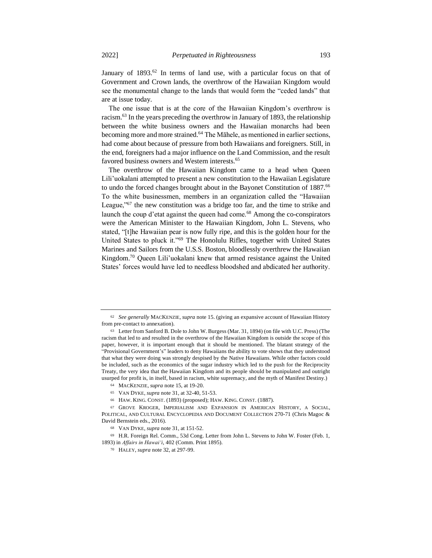January of 1893.<sup>62</sup> In terms of land use, with a particular focus on that of Government and Crown lands, the overthrow of the Hawaiian Kingdom would see the monumental change to the lands that would form the "ceded lands" that are at issue today.

The one issue that is at the core of the Hawaiian Kingdom's overthrow is racism.<sup>63</sup> In the years preceding the overthrow in January of 1893, the relationship between the white business owners and the Hawaiian monarchs had been becoming more and more strained.<sup>64</sup> The Māhele, as mentioned in earlier sections, had come about because of pressure from both Hawaiians and foreigners. Still, in the end, foreigners had a major influence on the Land Commission, and the result favored business owners and Western interests.<sup>65</sup>

The overthrow of the Hawaiian Kingdom came to a head when Queen Lili'uokalani attempted to present a new constitution to the Hawaiian Legislature to undo the forced changes brought about in the Bayonet Constitution of 1887.<sup>66</sup> To the white businessmen, members in an organization called the "Hawaiian League,"<sup>67</sup> the new constitution was a bridge too far, and the time to strike and launch the coup d'etat against the queen had come.<sup>68</sup> Among the co-conspirators were the American Minister to the Hawaiian Kingdom, John L. Stevens, who stated, "[t]he Hawaiian pear is now fully ripe, and this is the golden hour for the United States to pluck it."<sup>69</sup> The Honolulu Rifles, together with United States Marines and Sailors from the U.S.S. Boston, bloodlessly overthrew the Hawaiian Kingdom.<sup>70</sup> Queen Lili'uokalani knew that armed resistance against the United States' forces would have led to needless bloodshed and abdicated her authority.

<sup>62</sup> *See generally* MACKENZIE, *supra* note 15. (giving an expansive account of Hawaiian History from pre-contact to annexation).

<sup>63</sup> Letter from Sanford B. Dole to John W. Burgess (Mar. 31, 1894) (on file with U.C. Press) (The racism that led to and resulted in the overthrow of the Hawaiian Kingdom is outside the scope of this paper, however, it is important enough that it should be mentioned. The blatant strategy of the "Provisional Government's" leaders to deny Hawaiians the ability to vote shows that they understood that what they were doing was strongly despised by the Native Hawaiians. While other factors could be included, such as the economics of the sugar industry which led to the push for the Reciprocity Treaty, the very idea that the Hawaiian Kingdom and its people should be manipulated and outright usurped for profit is, in itself, based in racism, white supremacy, and the myth of Manifest Destiny.)

<sup>64</sup> MACKENZIE, *supra* note 15, at 19-20.

<sup>65</sup> VAN DYKE, *supra* note 31, at 32-40, 51-53.

<sup>66</sup> HAW. KING. CONST. (1893) (proposed); HAW. KING. CONST. (1887).

<sup>67</sup> GROVE KROGER, IMPERIALISM AND EXPANSION IN AMERICAN HISTORY, A SOCIAL, POLITICAL, AND CULTURAL ENCYCLOPEDIA AND DOCUMENT COLLECTION 270-71 (Chris Magoc & David Bernstein eds., 2016).

<sup>68</sup> VAN DYKE, *supra* note 31, at 151-52.

<sup>69</sup> H.R. Foreign Rel. Comm., 53d Cong. Letter from John L. Stevens to John W. Foster (Feb. 1, 1893) in *Affairs in Hawaiʻi*, 402 (Comm. Print 1895).

<sup>70</sup> HALEY, *supra* note 32, at 297-99.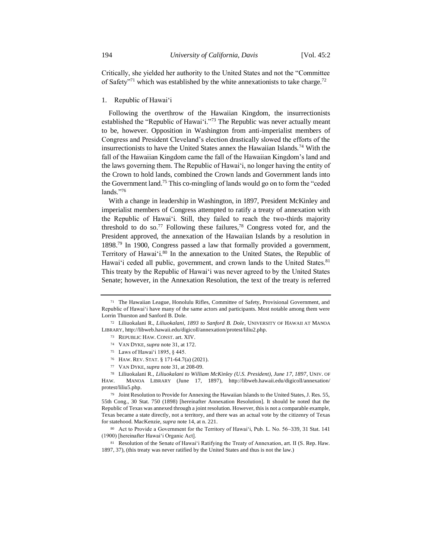Critically, she yielded her authority to the United States and not the "Committee of Safety<sup>371</sup> which was established by the white annexationists to take charge.<sup>72</sup>

#### 1. Republic of Hawaiʻi

Following the overthrow of the Hawaiian Kingdom, the insurrectionists established the "Republic of Hawaiʻi."<sup>73</sup> The Republic was never actually meant to be, however. Opposition in Washington from anti-imperialist members of Congress and President Cleveland's election drastically slowed the efforts of the insurrectionists to have the United States annex the Hawaiian Islands.<sup>74</sup> With the fall of the Hawaiian Kingdom came the fall of the Hawaiian Kingdom's land and the laws governing them. The Republic of Hawaiʻi, no longer having the entity of the Crown to hold lands, combined the Crown lands and Government lands into the Government land.<sup>75</sup> This co-mingling of lands would go on to form the "ceded lands."<sup>76</sup>

With a change in leadership in Washington, in 1897, President McKinley and imperialist members of Congress attempted to ratify a treaty of annexation with the Republic of Hawaiʻi. Still, they failed to reach the two-thirds majority threshold to do so.<sup>77</sup> Following these failures,<sup>78</sup> Congress voted for, and the President approved, the annexation of the Hawaiian Islands by a resolution in  $1898<sup>79</sup>$  In 1900, Congress passed a law that formally provided a government, Territory of Hawaiʻi.<sup>80</sup> In the annexation to the United States, the Republic of Hawai'i ceded all public, government, and crown lands to the United States.<sup>81</sup> This treaty by the Republic of Hawaiʻi was never agreed to by the United States Senate; however, in the Annexation Resolution, the text of the treaty is referred

<sup>71</sup> The Hawaiian League, Honolulu Rifles, Committee of Safety, Provisional Government, and Republic of Hawaiʻi have many of the same actors and participants. Most notable among them were Lorrin Thurston and Sanford B. Dole.

<sup>72</sup> Liliuokalani R., *Liliuokalani, 1893 to Sanford B. Dole*, UNIVERSITY OF HAWAII AT MANOA LIBRARY, http://libweb.hawaii.edu/digicoll/annexation/protest/liliu2.php.

<sup>73</sup> REPUBLIC HAW. CONST. art. XIV.

<sup>74</sup> VAN DYKE, *supra* note 31, at 172.

<sup>75</sup> Laws of Hawaiʻi 1895, § 445.

<sup>76</sup> HAW. REV. STAT. § 171-64.7(a) (2021).

<sup>77</sup> VAN DYKE, *supra* note 31, at 208-09.

<sup>78</sup> Liliuokalani R., *Liliuokalani to William McKinley (U.S. President), June 17, 1897*, UNIV. OF HAW. MANOA LIBRARY (June 17, 1897), http://libweb.hawaii.edu/digicoll/annexation/ protest/liliu5.php.

<sup>79</sup> Joint Resolution to Provide for Annexing the Hawaiian Islands to the United States, J. Res. 55, 55th Cong., 30 Stat. 750 (1898) [hereinafter Annexation Resolution]. It should be noted that the Republic of Texas was annexed through a joint resolution. However, this is not a comparable example, Texas became a state directly, not a territory, and there was an actual vote by the citizenry of Texas for statehood. MacKenzie, *supra* note 14, at n. 221.

<sup>80</sup> Act to Provide a Government for the Territory of Hawaiʻi, Pub. L. No. 56–339, 31 Stat. 141 (1900) [hereinafter Hawaiʻi Organic Act].

<sup>81</sup> Resolution of the Senate of Hawaiʻi Ratifying the Treaty of Annexation, art. II (S. Rep. Haw. 1897, 37), (this treaty was never ratified by the United States and thus is not the law.)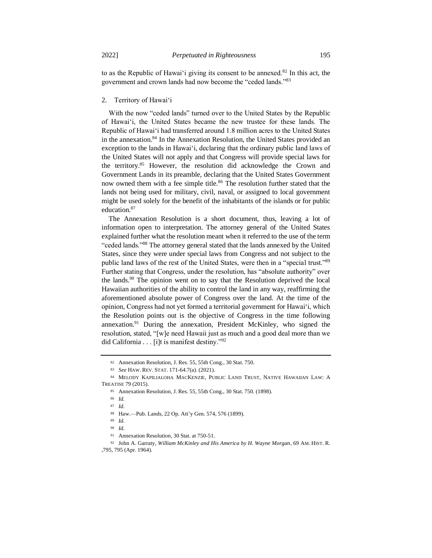to as the Republic of Hawaiʻi giving its consent to be annexed.<sup>82</sup> In this act, the government and crown lands had now become the "ceded lands."<sup>83</sup>

#### 2. Territory of Hawaiʻi

With the now "ceded lands" turned over to the United States by the Republic of Hawaiʻi, the United States became the new trustee for these lands. The Republic of Hawaiʻi had transferred around 1.8 million acres to the United States in the annexation.<sup>84</sup> In the Annexation Resolution, the United States provided an exception to the lands in Hawaiʻi, declaring that the ordinary public land laws of the United States will not apply and that Congress will provide special laws for the territory.<sup>85</sup> However, the resolution did acknowledge the Crown and Government Lands in its preamble, declaring that the United States Government now owned them with a fee simple title.<sup>86</sup> The resolution further stated that the lands not being used for military, civil, naval, or assigned to local government might be used solely for the benefit of the inhabitants of the islands or for public education.<sup>87</sup>

The Annexation Resolution is a short document, thus, leaving a lot of information open to interpretation. The attorney general of the United States explained further what the resolution meant when it referred to the use of the term "ceded lands."<sup>88</sup> The attorney general stated that the lands annexed by the United States, since they were under special laws from Congress and not subject to the public land laws of the rest of the United States, were then in a "special trust."<sup>89</sup> Further stating that Congress, under the resolution, has "absolute authority" over the lands.<sup>90</sup> The opinion went on to say that the Resolution deprived the local Hawaiian authorities of the ability to control the land in any way, reaffirming the aforementioned absolute power of Congress over the land. At the time of the opinion, Congress had not yet formed a territorial government for Hawaiʻi, which the Resolution points out is the objective of Congress in the time following annexation. $91$  During the annexation, President McKinley, who signed the resolution, stated, "[w]e need Hawaii just as much and a good deal more than we did California . . . [i]t is manifest destiny."92

<sup>82</sup> Annexation Resolution, J. Res. 55, 55th Cong., 30 Stat. 750.

<sup>83</sup> *See* HAW. REV. STAT. 171-64.7(a). (2021).

<sup>84</sup> MELODY KAPILIALOHA MACKENZIE, PUBLIC LAND TRUST, NATIVE HAWAIIAN LAW: A TREATISE 79 (2015).

<sup>85</sup> Annexation Resolution, J. Res. 55, 55th Cong., 30 Stat. 750. (1898).

<sup>86</sup> *Id.*

<sup>87</sup> *Id.*

<sup>88</sup> Haw.—Pub. Lands, 22 Op. Att'y Gen. 574, 576 (1899).

<sup>89</sup> *Id.*

<sup>90</sup> *Id.*

<sup>91</sup> Annexation Resolution, 30 Stat. at 750-51.

<sup>92</sup> John A. Garraty, *William McKinley and His America by H. Wayne Morgan*, 69 AM. HIST. R. ,795, 795 (Apr. 1964).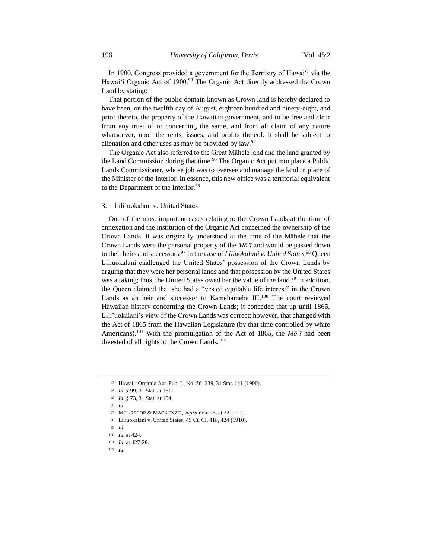In 1900, Congress provided a government for the Territory of Hawaiʻi via the Hawai'i Organic Act of 1900.<sup>93</sup> The Organic Act directly addressed the Crown Land by stating:

That portion of the public domain known as Crown land is hereby declared to have been, on the twelfth day of August, eighteen hundred and ninety-eight, and prior thereto, the property of the Hawaiian government, and to be free and clear from any trust of or concerning the same, and from all claim of any nature whatsoever, upon the rents, issues, and profits thereof. It shall be subject to alienation and other uses as may be provided by law.<sup>94</sup>

The Organic Act also referred to the Great Māhele land and the land granted by the Land Commission during that time.<sup>95</sup> The Organic Act put into place a Public Lands Commissioner, whose job was to oversee and manage the land in place of the Minister of the Interior. In essence, this new office was a territorial equivalent to the Department of the Interior.<sup>96</sup>

#### 3. Lili'uokalani v. United States

One of the most important cases relating to the Crown Lands at the time of annexation and the institution of the Organic Act concerned the ownership of the Crown Lands. It was originally understood at the time of the Māhele that the Crown Lands were the personal property of the *Mōʻī* and would be passed down to their heirs and successors.<sup>97</sup> In the case of *Liliuokalani v. United States,*<sup>98</sup> Queen Liliuokalani challenged the United States' possession of the Crown Lands by arguing that they were her personal lands and that possession by the United States was a taking; thus, the United States owed her the value of the land.<sup>99</sup> In addition, the Queen claimed that she had a "vested equitable life interest" in the Crown Lands as an heir and successor to Kamehameha III.<sup>100</sup> The court reviewed Hawaiian history concerning the Crown Lands; it conceded that up until 1865, Lili'uokalani's view of the Crown Lands was correct; however, that changed with the Act of 1865 from the Hawaiian Legislature (by that time controlled by white Americans).<sup>101</sup> With the promulgation of the Act of 1865, the  $M\bar{o}^{\dagger}$  had been divested of all rights to the Crown Lands.<sup>102</sup>

- <sup>97</sup> MCGREGOR & MACKENZIE, *supra* note 25, at 221-222.
- <sup>98</sup> Liliuokalani v. United States, 45 Ct. Cl. 418, 424 (1910).
- <sup>99</sup> *Id.*

<sup>93</sup> Hawaiʻi Organic Act, Pub. L. No. 56–339, 31 Stat. 141 (1900).

<sup>94</sup> *Id.* § 99, 31 Stat. at 161.

<sup>95</sup> *Id.* § 73, 31 Stat. at 154.

<sup>96</sup> *Id*.

<sup>100</sup> *Id.* at 424.

<sup>101</sup> *Id.* at 427-28.

<sup>102</sup> *Id.*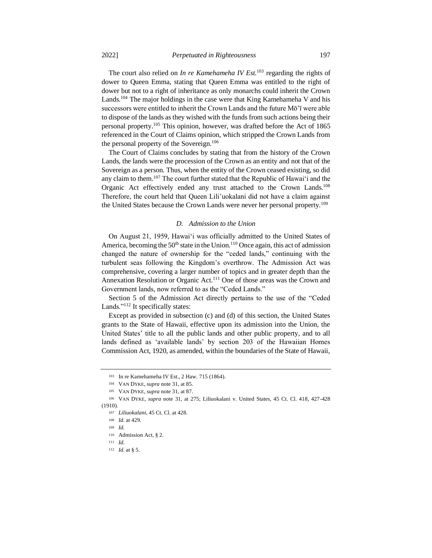The court also relied on *In re Kamehameha IV Est.*<sup>103</sup> regarding the rights of dower to Queen Emma, stating that Queen Emma was entitled to the right of dower but not to a right of inheritance as only monarchs could inherit the Crown Lands.<sup>104</sup> The major holdings in the case were that King Kamehameha V and his successors were entitled to inherit the Crown Lands and the future Mō'ī were able to dispose of the lands as they wished with the funds from such actions being their personal property.<sup>105</sup> This opinion, however, was drafted before the Act of 1865 referenced in the Court of Claims opinion, which stripped the Crown Lands from the personal property of the Sovereign.<sup>106</sup>

The Court of Claims concludes by stating that from the history of the Crown Lands, the lands were the procession of the Crown as an entity and not that of the Sovereign as a person. Thus, when the entity of the Crown ceased existing, so did any claim to them.<sup>107</sup> The court further stated that the Republic of Hawai<sup> $\cdot$ </sup> and the Organic Act effectively ended any trust attached to the Crown Lands.<sup>108</sup> Therefore, the court held that Queen Lili'uokalani did not have a claim against the United States because the Crown Lands were never her personal property.<sup>109</sup>

## *D. Admission to the Union*

On August 21, 1959, Hawaiʻi was officially admitted to the United States of America, becoming the  $50<sup>th</sup>$  state in the Union.<sup>110</sup> Once again, this act of admission changed the nature of ownership for the "ceded lands," continuing with the turbulent seas following the Kingdom's overthrow. The Admission Act was comprehensive, covering a larger number of topics and in greater depth than the Annexation Resolution or Organic Act.<sup>111</sup> One of those areas was the Crown and Government lands, now referred to as the "Ceded Lands."

Section 5 of the Admission Act directly pertains to the use of the "Ceded Lands."<sup>112</sup> It specifically states:

Except as provided in subsection (c) and (d) of this section, the United States grants to the State of Hawaii, effective upon its admission into the Union, the United States' title to all the public lands and other public property, and to all lands defined as 'available lands' by section 203 of the Hawaiian Homes Commission Act, 1920, as amended, within the boundaries of the State of Hawaii,

<sup>112</sup> *Id.* at § 5.

<sup>103</sup> In re Kamehameha IV Est., 2 Haw. 715 (1864).

<sup>104</sup> VAN DYKE, *supra* note 31, at 85.

<sup>105</sup> VAN DYKE, *supra* note 31, at 87.

<sup>106</sup> VAN DYKE, *supra* note 31, at 275; Liliuokalani v. United States, 45 Ct. Cl. 418, 427-428 (1910).

<sup>107</sup> *Liliuokalani*, 45 Ct. Cl. at 428.

<sup>108</sup> *Id.* at 429.

<sup>109</sup> *Id.*

<sup>110</sup> Admission Act, § 2.

<sup>111</sup> *Id.*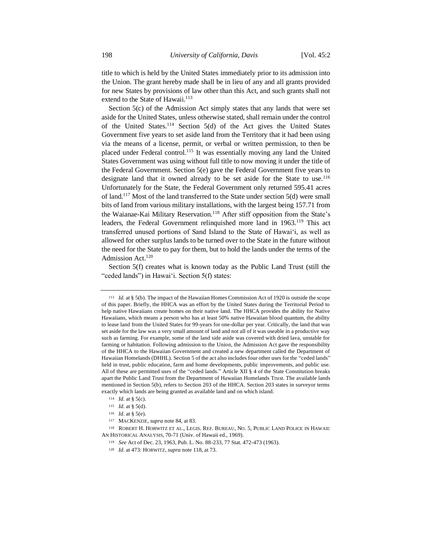title to which is held by the United States immediately prior to its admission into the Union. The grant hereby made shall be in lieu of any and all grants provided for new States by provisions of law other than this Act, and such grants shall not extend to the State of Hawaii.<sup>113</sup>

Section 5(c) of the Admission Act simply states that any lands that were set aside for the United States, unless otherwise stated, shall remain under the control of the United States.<sup>114</sup> Section 5(d) of the Act gives the United States Government five years to set aside land from the Territory that it had been using via the means of a license, permit, or verbal or written permission, to then be placed under Federal control.<sup>115</sup> It was essentially moving any land the United States Government was using without full title to now moving it under the title of the Federal Government. Section 5(e) gave the Federal Government five years to designate land that it owned already to be set aside for the State to use.<sup>116</sup> Unfortunately for the State, the Federal Government only returned 595.41 acres of land.<sup>117</sup> Most of the land transferred to the State under section 5(d) were small bits of land from various military installations, with the largest being 157.71 from the Waianae-Kai Military Reservation.<sup>118</sup> After stiff opposition from the State's leaders, the Federal Government relinquished more land in 1963.<sup>119</sup> This act transferred unused portions of Sand Island to the State of Hawaiʻi, as well as allowed for other surplus lands to be turned over to the State in the future without the need for the State to pay for them, but to hold the lands under the terms of the Admission Act.<sup>120</sup>

Section 5(f) creates what is known today as the Public Land Trust (still the "ceded lands") in Hawaiʻi. Section 5(f) states:

<sup>113</sup> *Id.* at § 5(b). The impact of the Hawaiian Homes Commission Act of 1920 is outside the scope of this paper. Briefly, the HHCA was an effort by the United States during the Territorial Period to help native Hawaiians create homes on their native land. The HHCA provides the ability for Native Hawaiians, which means a person who has at least 50% native Hawaiian blood quantum, the ability to lease land from the United States for 99-years for one-dollar per year. Critically, the land that was set aside for the law was a very small amount of land and not all of it was useable in a productive way such as farming. For example, some of the land side aside was covered with dried lava, unstable for farming or habitation. Following admission to the Union, the Admission Act gave the responsibility of the HHCA to the Hawaiian Government and created a new department called the Department of Hawaiian Homelands (DHHL). Section 5 of the act also includes four other uses for the "ceded lands" held in trust, public education, farm and home developments, public improvements, and public use. All of these are permitted uses of the "ceded lands." Article XII § 4 of the State Constitution breaks apart the Public Land Trust from the Department of Hawaiian Homelands Trust. The available lands mentioned in Section 5(b), refers to Section 203 of the HHCA. Section 203 states in surveyor terms exactly which lands are being granted as available land and on which island.

<sup>114</sup> *Id.* at § 5(c).

<sup>115</sup> *Id.* at § 5(d).

<sup>116</sup> *Id*. at § 5(e).

<sup>117</sup> MACKENZIE, *supra* note 84, at 83.

<sup>118</sup> ROBERT H. HORWITZ ET AL., LEGIS. REF. BUREAU, NO. 5, PUBLIC LAND POLICE IN HAWAII: AN HISTORICAL ANALYSIS, 70-71 (Univ. of Hawaii ed., 1969).

<sup>119</sup> *See* Act of Dec. 23, 1963, Pub. L. No. 88-233, 77 Stat. 472-473 (1963).

<sup>120</sup> *Id*. at 473: HORWITZ, *supra* note 118, at 73.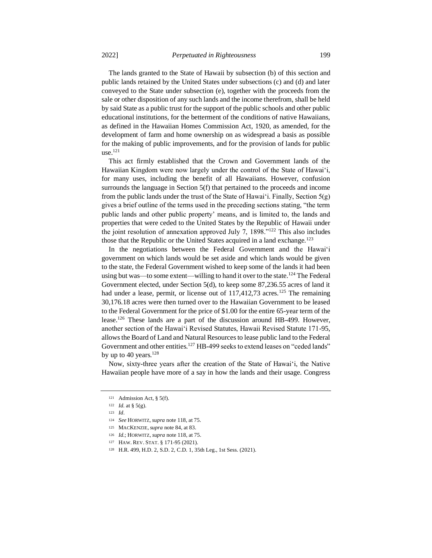The lands granted to the State of Hawaii by subsection (b) of this section and public lands retained by the United States under subsections (c) and (d) and later conveyed to the State under subsection (e), together with the proceeds from the sale or other disposition of any such lands and the income therefrom, shall be held by said State as a public trust for the support of the public schools and other public educational institutions, for the betterment of the conditions of native Hawaiians, as defined in the Hawaiian Homes Commission Act, 1920, as amended, for the development of farm and home ownership on as widespread a basis as possible for the making of public improvements, and for the provision of lands for public  $use.<sup>121</sup>$ 

This act firmly established that the Crown and Government lands of the Hawaiian Kingdom were now largely under the control of the State of Hawaiʻi, for many uses, including the benefit of all Hawaiians. However, confusion surrounds the language in Section 5(f) that pertained to the proceeds and income from the public lands under the trust of the State of Hawaiʻi. Finally, Section 5(g) gives a brief outline of the terms used in the preceding sections stating, "the term public lands and other public property' means, and is limited to, the lands and properties that were ceded to the United States by the Republic of Hawaii under the joint resolution of annexation approved July 7, 1898."<sup>122</sup> This also includes those that the Republic or the United States acquired in a land exchange.<sup>123</sup>

In the negotiations between the Federal Government and the Hawaiʻi government on which lands would be set aside and which lands would be given to the state, the Federal Government wished to keep some of the lands it had been using but was—to some extent—willing to hand it over to the state.<sup>124</sup> The Federal Government elected, under Section 5(d), to keep some 87,236.55 acres of land it had under a lease, permit, or license out of 117,412,73 acres.<sup>125</sup> The remaining 30,176.18 acres were then turned over to the Hawaiian Government to be leased to the Federal Government for the price of \$1.00 for the entire 65-year term of the lease.<sup>126</sup> These lands are a part of the discussion around HB-499. However, another section of the Hawaiʻi Revised Statutes, Hawaii Revised Statute 171-95, allows the Board of Land and Natural Resources to lease public land to the Federal Government and other entities.<sup>127</sup> HB-499 seeks to extend leases on "ceded lands" by up to 40 years. $128$ 

Now, sixty-three years after the creation of the State of Hawaiʻi, the Native Hawaiian people have more of a say in how the lands and their usage. Congress

<sup>121</sup> Admission Act, § 5(f).

<sup>122</sup> *Id.* at § 5(g).

<sup>123</sup> *Id*.

<sup>124</sup> *See* HORWITZ, *supra* note 118, at 75.

<sup>125</sup> MACKENZIE, *supra* note 84, at 83.

<sup>126</sup> *Id.*; HORWITZ, *supra* note 118, at 75.

<sup>127</sup> HAW. REV. STAT. § 171-95 (2021).

<sup>128</sup> H.R. 499, H.D. 2, S.D. 2, C.D. 1, 35th Leg., 1st Sess. (2021).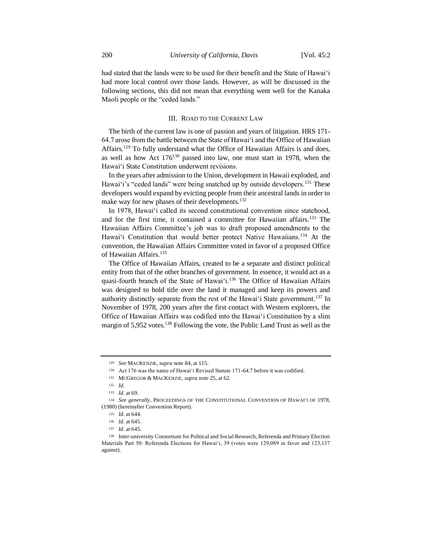had stated that the lands were to be used for their benefit and the State of Hawaiʻi had more local control over those lands. However, as will be discussed in the following sections, this did not mean that everything went well for the Kanaka Maoli people or the "ceded lands."

#### III. ROAD TO THE CURRENT LAW

The birth of the current law is one of passion and years of litigation. HRS 171- 64.7 arose from the battle between the State of Hawaiʻi and the Office of Hawaiian Affairs.<sup>129</sup> To fully understand what the Office of Hawaiian Affairs is and does, as well as how Act  $176^{130}$  passed into law, one must start in 1978, when the Hawaiʻi State Constitution underwent revisions.

In the years after admission to the Union, development in Hawaii exploded, and Hawai'i's "ceded lands" were being snatched up by outside developers.<sup>131</sup> These developers would expand by evicting people from their ancestral lands in order to make way for new phases of their developments.<sup>132</sup>

In 1978, Hawaiʻi called its second constitutional convention since statehood, and for the first time, it contained a committee for Hawaiian affairs.<sup>133</sup> The Hawaiian Affairs Committee's job was to draft proposed amendments to the Hawai'i Constitution that would better protect Native Hawaiians.<sup>134</sup> At the convention, the Hawaiian Affairs Committee voted in favor of a proposed Office of Hawaiian Affairs.<sup>135</sup>

The Office of Hawaiian Affairs, created to be a separate and distinct political entity from that of the other branches of government. In essence, it would act as a quasi-fourth branch of the State of Hawaiʻi.<sup>136</sup> The Office of Hawaiian Affairs was designed to hold title over the land it managed and keep its powers and authority distinctly separate from the rest of the Hawai<sup>'</sup>i State government.<sup>137</sup> In November of 1978, 200 years after the first contact with Western explorers, the Office of Hawaiian Affairs was codified into the Hawaiʻi Constitution by a slim margin of 5,952 votes.<sup>138</sup> Following the vote, the Public Land Trust as well as the

<sup>129</sup> *See* MACKENZIE, *supra* note 84, at 115.

<sup>130</sup> Act 176 was the name of Hawaiʻi Revised Statute 171-64.7 before it was codified.

<sup>131</sup> MCGREGOR & MACKENZIE, *supra* note 25, at 62.

<sup>132</sup> *Id.*

<sup>133</sup> *Id*. at 69.

<sup>134</sup> *See generally*, PROCEEDINGS OF THE CONSTITUTIONAL CONVENTION OF HAWAIʻI OF 1978, (1980) (hereinafter Convention Report).

<sup>135</sup> *Id.* at 644.

<sup>136</sup> *Id.* at 645.

<sup>137</sup> *Id.* at 645.

<sup>138</sup> Inter-university Consortium for Political and Social Research, Referenda and Primary Election Materials Part 50: Referenda Elections for Hawaiʻi, 39 (votes were 129,089 in favor and 123,137 against).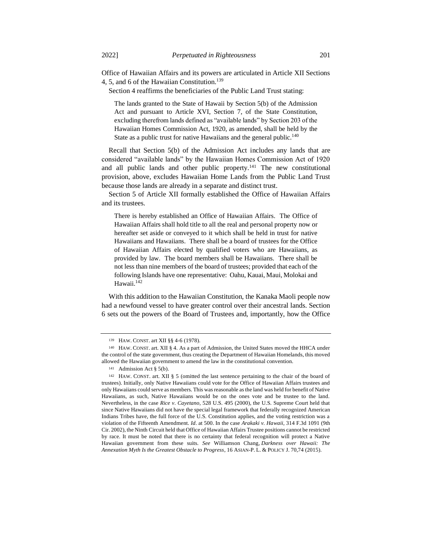Office of Hawaiian Affairs and its powers are articulated in Article XII Sections 4, 5, and 6 of the Hawaiian Constitution.<sup>139</sup>

Section 4 reaffirms the beneficiaries of the Public Land Trust stating:

The lands granted to the State of Hawaii by Section 5(b) of the Admission Act and pursuant to Article XVI, Section 7, of the State Constitution, excluding therefrom lands defined as "available lands" by Section 203 of the Hawaiian Homes Commission Act, 1920, as amended, shall be held by the State as a public trust for native Hawaiians and the general public.<sup>140</sup>

Recall that Section 5(b) of the Admission Act includes any lands that are considered "available lands" by the Hawaiian Homes Commission Act of 1920 and all public lands and other public property.<sup>141</sup> The new constitutional provision, above, excludes Hawaiian Home Lands from the Public Land Trust because those lands are already in a separate and distinct trust.

Section 5 of Article XII formally established the Office of Hawaiian Affairs and its trustees.

There is hereby established an Office of Hawaiian Affairs. The Office of Hawaiian Affairs shall hold title to all the real and personal property now or hereafter set aside or conveyed to it which shall be held in trust for native Hawaiians and Hawaiians. There shall be a board of trustees for the Office of Hawaiian Affairs elected by qualified voters who are Hawaiians, as provided by law. The board members shall be Hawaiians. There shall be not less than nine members of the board of trustees; provided that each of the following Islands have one representative: Oahu, Kauai, Maui, Molokai and Hawaii.<sup>142</sup>

With this addition to the Hawaiian Constitution, the Kanaka Maoli people now had a newfound vessel to have greater control over their ancestral lands. Section 6 sets out the powers of the Board of Trustees and, importantly, how the Office

<sup>139</sup> HAW. CONST. art XII §§ 4-6 (1978).

<sup>140</sup> HAW. CONST. art. XII § 4. As a part of Admission, the United States moved the HHCA under the control of the state government, thus creating the Department of Hawaiian Homelands, this moved allowed the Hawaiian government to amend the law in the constitutional convention.

<sup>141</sup> Admission Act § 5(b).

<sup>142</sup> HAW. CONST. art. XII § 5 (omitted the last sentence pertaining to the chair of the board of trustees). Initially, only Native Hawaiians could vote for the Office of Hawaiian Affairs trustees and only Hawaiians could serve as members. This was reasonable as the land was held for benefit of Native Hawaiians, as such, Native Hawaiians would be on the ones vote and be trustee to the land. Nevertheless, in the case *Rice v. Cayetano*, 528 U.S. 495 (2000), the U.S. Supreme Court held that since Native Hawaiians did not have the special legal framework that federally recognized American Indians Tribes have, the full force of the U.S. Constitution applies, and the voting restriction was a violation of the Fifteenth Amendment. *Id*. at 500. In the case *Arakaki v. Hawaii*, 314 F.3d 1091 (9th Cir. 2002), the Ninth Circuit held that Office of Hawaiian Affairs Trustee positions cannot be restricted by race. It must be noted that there is no certainty that federal recognition will protect a Native Hawaiian government from these suits. *See* Williamson Chang, *Darkness over Hawaii: The Annexation Myth Is the Greatest Obstacle to Progress*, 16 ASIAN-P. L. & POLICY J. 70,74 (2015).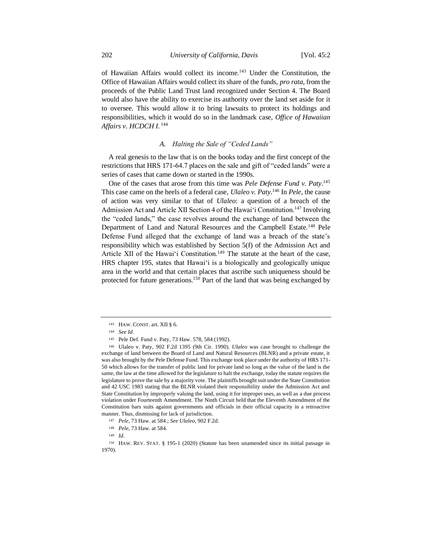of Hawaiian Affairs would collect its income.<sup>143</sup> Under the Constitution, the Office of Hawaiian Affairs would collect its share of the funds, *pro rata*, from the proceeds of the Public Land Trust land recognized under Section 4. The Board would also have the ability to exercise its authority over the land set aside for it to oversee. This would allow it to bring lawsuits to protect its holdings and responsibilities, which it would do so in the landmark case, *Office of Hawaiian Affairs v. HCDCH I.* <sup>144</sup>

## *A. Halting the Sale of "Ceded Lands"*

A real genesis to the law that is on the books today and the first concept of the restrictions that HRS 171-64.7 places on the sale and gift of "ceded lands" were a series of cases that came down or started in the 1990s.

One of the cases that arose from this time was *Pele Defense Fund v. Paty*. 145 This case came on the heels of a federal case, *Ulaleo v. Paty*. <sup>146</sup> In *Pele,* the cause of action was very similar to that of *Ulaleo*: a question of a breach of the Admission Act and Article XII Section 4 of the Hawaiʻi Constitution.<sup>147</sup> Involving the "ceded lands," the case revolves around the exchange of land between the Department of Land and Natural Resources and the Campbell Estate.<sup>148</sup> Pele Defense Fund alleged that the exchange of land was a breach of the state's responsibility which was established by Section 5(f) of the Admission Act and Article XII of the Hawai'i Constitution.<sup>149</sup> The statute at the heart of the case, HRS chapter 195, states that Hawaiʻi is a biologically and geologically unique area in the world and that certain places that ascribe such uniqueness should be protected for future generations.<sup>150</sup> Part of the land that was being exchanged by

<sup>143</sup> HAW. CONST. art. XII § 6.

<sup>144</sup> *See Id.*

<sup>145</sup> Pele Def. Fund v. Paty*,* 73 Haw. 578, 584 (1992).

<sup>146</sup> Ulaleo v. Paty, 902 F.2d 1395 (9th Cir. 1990). *Ulaleo* was case brought to challenge the exchange of land between the Board of Land and Natural Resources (BLNR) and a private estate, it was also brought by the Pele Defense Fund. This exchange took place under the authority of HRS 171- 50 which allows for the transfer of public land for private land so long as the value of the land is the same, the law at the time allowed for the legislature to halt the exchange, today the statute requires the legislature to prove the sale by a majority vote. The plaintiffs brought suit under the State Constitution and 42 USC 1983 stating that the BLNR violated their responsibility under the Admission Act and State Constitution by improperly valuing the land, using it for improper uses, as well as a due process violation under Fourteenth Amendment. The Ninth Circuit held that the Eleventh Amendment of the Constitution bars suits against governments and officials in their official capacity in a retroactive manner. Thus, dismissing for lack of jurisdiction.

<sup>147</sup> *Pele*, 73 Haw. at 584.; *See Ulaleo*, 902 F.2d.

<sup>148</sup> *Pele*, 73 Haw. at 584.

<sup>149</sup> *Id.*

<sup>150</sup> HAW. REV. STAT. § 195-1 (2020) (Statute has been unamended since its initial passage in 1970).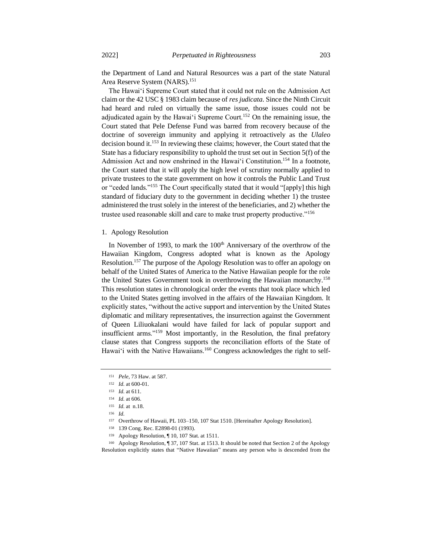the Department of Land and Natural Resources was a part of the state Natural Area Reserve System (NARS).<sup>151</sup>

The Hawaiʻi Supreme Court stated that it could not rule on the Admission Act claim or the 42 USC § 1983 claim because of *res judicata*. Since the Ninth Circuit had heard and ruled on virtually the same issue, those issues could not be adjudicated again by the Hawai'i Supreme Court.<sup>152</sup> On the remaining issue, the Court stated that Pele Defense Fund was barred from recovery because of the doctrine of sovereign immunity and applying it retroactively as the *Ulaleo* decision bound it.<sup>153</sup> In reviewing these claims; however, the Court stated that the State has a fiduciary responsibility to uphold the trust set out in Section 5(f) of the Admission Act and now enshrined in the Hawaiʻi Constitution.<sup>154</sup> In a footnote, the Court stated that it will apply the high level of scrutiny normally applied to private trustees to the state government on how it controls the Public Land Trust or "ceded lands."<sup>155</sup> The Court specifically stated that it would "[apply] this high standard of fiduciary duty to the government in deciding whether 1) the trustee administered the trust solely in the interest of the beneficiaries, and 2) whether the trustee used reasonable skill and care to make trust property productive."<sup>156</sup>

## 1. Apology Resolution

In November of 1993, to mark the  $100<sup>th</sup>$  Anniversary of the overthrow of the Hawaiian Kingdom, Congress adopted what is known as the Apology Resolution.<sup>157</sup> The purpose of the Apology Resolution was to offer an apology on behalf of the United States of America to the Native Hawaiian people for the role the United States Government took in overthrowing the Hawaiian monarchy.<sup>158</sup> This resolution states in chronological order the events that took place which led to the United States getting involved in the affairs of the Hawaiian Kingdom. It explicitly states, "without the active support and intervention by the United States diplomatic and military representatives, the insurrection against the Government of Queen Liliuokalani would have failed for lack of popular support and insufficient arms."<sup>159</sup> Most importantly, in the Resolution, the final prefatory clause states that Congress supports the reconciliation efforts of the State of Hawai'i with the Native Hawaiians.<sup>160</sup> Congress acknowledges the right to self-

<sup>157</sup> Overthrow of Hawaii, PL 103–150, 107 Stat 1510. [Hereinafter Apology Resolution].

<sup>160</sup> Apology Resolution, ¶ 37, 107 Stat. at 1513. It should be noted that Section 2 of the Apology Resolution explicitly states that "Native Hawaiian" means any person who is descended from the

<sup>151</sup> *Pele*, 73 Haw. at 587.

<sup>152</sup> *Id.* at 600-01.

<sup>153</sup> *Id.* at 611.

<sup>154</sup> *Id.* at 606.

<sup>155</sup> *Id.* at n.18.

<sup>156</sup> *Id.*

<sup>158</sup> 139 Cong. Rec. E2898-01 (1993).

<sup>159</sup> Apology Resolution, ¶ 10, 107 Stat. at 1511.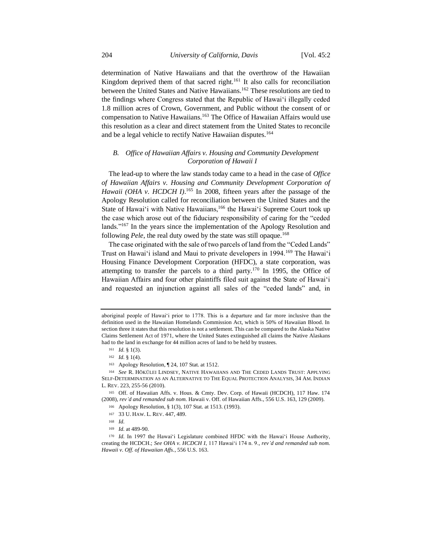determination of Native Hawaiians and that the overthrow of the Hawaiian Kingdom deprived them of that sacred right.<sup>161</sup> It also calls for reconciliation between the United States and Native Hawaiians.<sup>162</sup> These resolutions are tied to the findings where Congress stated that the Republic of Hawaiʻi illegally ceded 1.8 million acres of Crown, Government, and Public without the consent of or compensation to Native Hawaiians.<sup>163</sup> The Office of Hawaiian Affairs would use this resolution as a clear and direct statement from the United States to reconcile and be a legal vehicle to rectify Native Hawaiian disputes.<sup>164</sup>

## *B. Office of Hawaiian Affairs v. Housing and Community Development Corporation of Hawaii I*

The lead-up to where the law stands today came to a head in the case of *Office of Hawaiian Affairs v. Housing and Community Development Corporation of*  Hawaii (OHA v. HCDCH I).<sup>165</sup> In 2008, fifteen years after the passage of the Apology Resolution called for reconciliation between the United States and the State of Hawaiʻi with Native Hawaiians,<sup>166</sup> the Hawaiʻi Supreme Court took up the case which arose out of the fiduciary responsibility of caring for the "ceded lands."<sup>167</sup> In the years since the implementation of the Apology Resolution and following *Pele*, the real duty owed by the state was still opaque.<sup>168</sup>

The case originated with the sale of two parcels of land from the "Ceded Lands" Trust on Hawaiʻi island and Maui to private developers in 1994.<sup>169</sup> The Hawaiʻi Housing Finance Development Corporation (HFDC), a state corporation, was attempting to transfer the parcels to a third party.<sup>170</sup> In 1995, the Office of Hawaiian Affairs and four other plaintiffs filed suit against the State of Hawaiʻi and requested an injunction against all sales of the "ceded lands" and, in

<sup>165</sup> Off. of Hawaiian Affs. v. Hous. & Cmty. Dev. Corp. of Hawaii (HCDCH), 117 Haw. 174 (2008), *rev'd and remanded sub nom.* Hawaii v. Off. of Hawaiian Affs., 556 U.S. 163, 129 (2009).

- <sup>167</sup> 33 U. HAW. L. REV. 447, 489.
- <sup>168</sup> *Id.*
- <sup>169</sup> *Id.* at 489-90.

aboriginal people of Hawaiʻi prior to 1778. This is a departure and far more inclusive than the definition used in the Hawaiian Homelands Commission Act, which is 50% of Hawaiian Blood. In section three it states that this resolution is not a settlement. This can be compared to the Alaska Native Claims Settlement Act of 1971, where the United States extinguished all claims the Native Alaskans had to the land in exchange for 44 million acres of land to be held by trustees.

<sup>161</sup> *Id.* § 1(3).

<sup>162</sup> *Id.* § 1(4).

<sup>163</sup> Apology Resolution, ¶ 24, 107 Stat. at 1512.

<sup>164</sup> *See* R. HŌKŪLEI LINDSEY, NATIVE HAWAIIANS AND THE CEDED LANDS TRUST: APPLYING SELF-DETERMINATION AS AN ALTERNATIVE TO THE EQUAL PROTECTION ANALYSIS, 34 AM. INDIAN L. REV. 223, 255-56 (2010).

<sup>166</sup> Apology Resolution, § 1(3), 107 Stat. at 1513. (1993).

<sup>170</sup> *Id.* In 1997 the Hawaiʻi Legislature combined HFDC with the Hawaiʻi House Authority, creating the HCDCH.; *See OHA v. HCDCH I*, 117 Hawaiʻi 174 n. 9., *rev'd and remanded sub nom. Hawaii v. Off. of Hawaiian Affs*., 556 U.S. 163.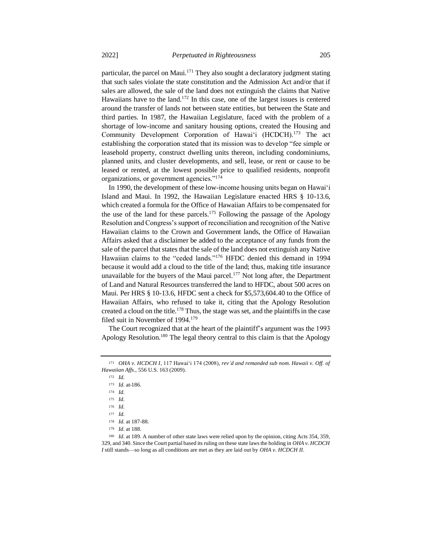particular, the parcel on Maui.<sup>171</sup> They also sought a declaratory judgment stating that such sales violate the state constitution and the Admission Act and/or that if sales are allowed, the sale of the land does not extinguish the claims that Native Hawaiians have to the land.<sup>172</sup> In this case, one of the largest issues is centered around the transfer of lands not between state entities, but between the State and third parties. In 1987, the Hawaiian Legislature, faced with the problem of a shortage of low-income and sanitary housing options, created the Housing and Community Development Corporation of Hawai'i (HCDCH).<sup>173</sup> The act establishing the corporation stated that its mission was to develop "fee simple or leasehold property, construct dwelling units thereon, including condominiums, planned units, and cluster developments, and sell, lease, or rent or cause to be leased or rented, at the lowest possible price to qualified residents, nonprofit organizations, or government agencies."<sup>174</sup>

In 1990, the development of these low-income housing units began on Hawaiʻi Island and Maui. In 1992, the Hawaiian Legislature enacted HRS § 10-13.6, which created a formula for the Office of Hawaiian Affairs to be compensated for the use of the land for these parcels.<sup>175</sup> Following the passage of the Apology Resolution and Congress's support of reconciliation and recognition of the Native Hawaiian claims to the Crown and Government lands, the Office of Hawaiian Affairs asked that a disclaimer be added to the acceptance of any funds from the sale of the parcel that states that the sale of the land does not extinguish any Native Hawaiian claims to the "ceded lands."<sup>176</sup> HFDC denied this demand in 1994 because it would add a cloud to the title of the land; thus, making title insurance unavailable for the buyers of the Maui parcel.<sup>177</sup> Not long after, the Department of Land and Natural Resources transferred the land to HFDC, about 500 acres on Maui. Per HRS § 10-13.6, HFDC sent a check for \$5,573,604.40 to the Office of Hawaiian Affairs, who refused to take it, citing that the Apology Resolution created a cloud on the title.<sup>178</sup> Thus, the stage was set, and the plaintiffs in the case filed suit in November of 1994.<sup>179</sup>

The Court recognized that at the heart of the plaintiff's argument was the 1993 Apology Resolution.<sup>180</sup> The legal theory central to this claim is that the Apology

<sup>172</sup> *Id.*

<sup>171</sup> *OHA v. HCDCH I*, 117 Hawaiʻi 174 (2008), *rev'd and remanded sub nom. Hawaii v. Off. of Hawaiian Affs.*, 556 U.S. 163 (2009).

<sup>173</sup> *Id.* at 186.

<sup>174</sup> *Id.*

<sup>175</sup> *Id.*

<sup>176</sup> *Id.*

<sup>177</sup> *Id.*

<sup>178</sup> *Id.* at 187-88.

<sup>179</sup> *Id.* at 188.

<sup>180</sup> *Id.* at 189. A number of other state laws were relied upon by the opinion, citing Acts 354, 359, 329, and 340. Since the Court partial based its ruling on these state laws the holding in *OHA v. HCDCH I* still stands—so long as all conditions are met as they are laid out by *OHA v. HCDCH II*.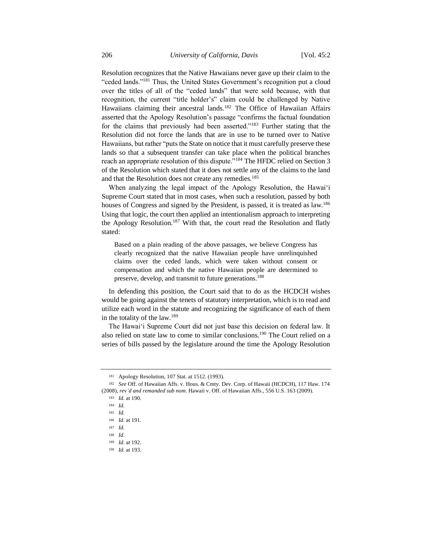Resolution recognizes that the Native Hawaiians never gave up their claim to the "ceded lands."<sup>181</sup> Thus, the United States Government's recognition put a cloud over the titles of all of the "ceded lands" that were sold because, with that recognition, the current "title holder's" claim could be challenged by Native Hawaiians claiming their ancestral lands.<sup>182</sup> The Office of Hawaiian Affairs asserted that the Apology Resolution's passage "confirms the factual foundation for the claims that previously had been asserted."<sup>183</sup> Further stating that the Resolution did not force the lands that are in use to be turned over to Native Hawaiians, but rather "puts the State on notice that it must carefully preserve these lands so that a subsequent transfer can take place when the political branches reach an appropriate resolution of this dispute."<sup>184</sup> The HFDC relied on Section 3 of the Resolution which stated that it does not settle any of the claims to the land and that the Resolution does not create any remedies.<sup>185</sup>

When analyzing the legal impact of the Apology Resolution, the Hawaiʻi Supreme Court stated that in most cases, when such a resolution, passed by both houses of Congress and signed by the President, is passed, it is treated as law.<sup>186</sup> Using that logic, the court then applied an intentionalism approach to interpreting the Apology Resolution.<sup>187</sup> With that, the court read the Resolution and flatly stated:

Based on a plain reading of the above passages, we believe Congress has clearly recognized that the native Hawaiian people have unrelinquished claims over the ceded lands, which were taken without consent or compensation and which the native Hawaiian people are determined to preserve, develop, and transmit to future generations.<sup>188</sup>

In defending this position, the Court said that to do as the HCDCH wishes would be going against the tenets of statutory interpretation, which is to read and utilize each word in the statute and recognizing the significance of each of them in the totality of the law.<sup>189</sup>

The Hawaiʻi Supreme Court did not just base this decision on federal law. It also relied on state law to come to similar conclusions.<sup>190</sup> The Court relied on a series of bills passed by the legislature around the time the Apology Resolution

<sup>181</sup> Apology Resolution, 107 Stat. at 1512. (1993).

<sup>182</sup> *See* Off. of Hawaiian Affs. v. Hous. & Cmty. Dev. Corp. of Hawaii (HCDCH), 117 Haw. 174 (2008), *rev'd and remanded sub nom.* Hawaii v. Off. of Hawaiian Affs., 556 U.S. 163 (2009).

<sup>183</sup> *Id.* at 190.

<sup>184</sup> *Id.*

<sup>185</sup> *Id.*

<sup>186</sup> *Id.* at 191.

<sup>187</sup> *Id.*

<sup>188</sup> *Id.*

<sup>189</sup> *Id.* at 192.

<sup>190</sup> *Id.* at 193.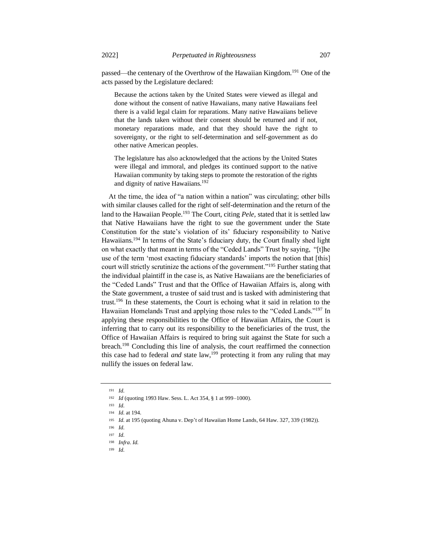passed—the centenary of the Overthrow of the Hawaiian Kingdom.<sup>191</sup> One of the acts passed by the Legislature declared:

Because the actions taken by the United States were viewed as illegal and done without the consent of native Hawaiians, many native Hawaiians feel there is a valid legal claim for reparations. Many native Hawaiians believe that the lands taken without their consent should be returned and if not, monetary reparations made, and that they should have the right to sovereignty, or the right to self-determination and self-government as do other native American peoples.

The legislature has also acknowledged that the actions by the United States were illegal and immoral, and pledges its continued support to the native Hawaiian community by taking steps to promote the restoration of the rights and dignity of native Hawaiians.<sup>192</sup>

At the time, the idea of "a nation within a nation" was circulating; other bills with similar clauses called for the right of self-determination and the return of the land to the Hawaiian People.<sup>193</sup> The Court, citing *Pele*, stated that it is settled law that Native Hawaiians have the right to sue the government under the State Constitution for the state's violation of its' fiduciary responsibility to Native Hawaiians.<sup>194</sup> In terms of the State's fiduciary duty, the Court finally shed light on what exactly that meant in terms of the "Ceded Lands" Trust by saying, "[t]he use of the term 'most exacting fiduciary standards' imports the notion that [this] court will strictly scrutinize the actions of the government."<sup>195</sup> Further stating that the individual plaintiff in the case is, as Native Hawaiians are the beneficiaries of the "Ceded Lands" Trust and that the Office of Hawaiian Affairs is, along with the State government, a trustee of said trust and is tasked with administering that trust.<sup>196</sup> In these statements, the Court is echoing what it said in relation to the Hawaiian Homelands Trust and applying those rules to the "Ceded Lands."<sup>197</sup> In applying these responsibilities to the Office of Hawaiian Affairs, the Court is inferring that to carry out its responsibility to the beneficiaries of the trust, the Office of Hawaiian Affairs is required to bring suit against the State for such a breach.<sup>198</sup> Concluding this line of analysis, the court reaffirmed the connection this case had to federal *and* state  $\text{law}$ <sup>199</sup> protecting it from any ruling that may nullify the issues on federal law.

<sup>191</sup> *Id.*

<sup>192</sup> *Id* (quoting 1993 Haw. Sess. L. Act 354, § 1 at 999–1000).

<sup>193</sup> *Id.*

<sup>194</sup> *Id.* at 194.

<sup>195</sup> *Id.* at 195 (quoting Ahuna v. Dep't of Hawaiian Home Lands, 64 Haw. 327, 339 (1982)).

<sup>196</sup> *Id.*

<sup>197</sup> *Id.*

<sup>198</sup> *Infra*. *Id.*

<sup>199</sup> *Id.*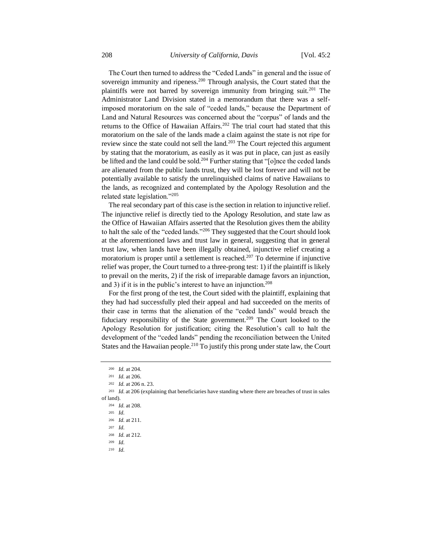The Court then turned to address the "Ceded Lands" in general and the issue of sovereign immunity and ripeness.<sup>200</sup> Through analysis, the Court stated that the plaintiffs were not barred by sovereign immunity from bringing suit.<sup>201</sup> The Administrator Land Division stated in a memorandum that there was a selfimposed moratorium on the sale of "ceded lands," because the Department of Land and Natural Resources was concerned about the "corpus" of lands and the returns to the Office of Hawaiian Affairs.<sup>202</sup> The trial court had stated that this moratorium on the sale of the lands made a claim against the state is not ripe for review since the state could not sell the land.<sup>203</sup> The Court rejected this argument by stating that the moratorium, as easily as it was put in place, can just as easily be lifted and the land could be sold.<sup>204</sup> Further stating that "[o]nce the ceded lands are alienated from the public lands trust, they will be lost forever and will not be potentially available to satisfy the unrelinquished claims of native Hawaiians to the lands, as recognized and contemplated by the Apology Resolution and the related state legislation."<sup>205</sup>

The real secondary part of this case is the section in relation to injunctive relief. The injunctive relief is directly tied to the Apology Resolution, and state law as the Office of Hawaiian Affairs asserted that the Resolution gives them the ability to halt the sale of the "ceded lands."<sup>206</sup> They suggested that the Court should look at the aforementioned laws and trust law in general, suggesting that in general trust law, when lands have been illegally obtained, injunctive relief creating a moratorium is proper until a settlement is reached.<sup>207</sup> To determine if injunctive relief was proper, the Court turned to a three-prong test: 1) if the plaintiff is likely to prevail on the merits, 2) if the risk of irreparable damage favors an injunction, and 3) if it is in the public's interest to have an injunction.<sup>208</sup>

For the first prong of the test, the Court sided with the plaintiff, explaining that they had had successfully pled their appeal and had succeeded on the merits of their case in terms that the alienation of the "ceded lands" would breach the fiduciary responsibility of the State government.<sup>209</sup> The Court looked to the Apology Resolution for justification; citing the Resolution's call to halt the development of the "ceded lands" pending the reconciliation between the United States and the Hawaiian people.<sup>210</sup> To justify this prong under state law, the Court

<sup>210</sup> *Id.*

<sup>200</sup> *Id.* at 204.

<sup>201</sup> *Id.* at 206.

<sup>202</sup> *Id.* at 206 n. 23.

<sup>203</sup> *Id.* at 206 (explaining that beneficiaries have standing where there are breaches of trust in sales of land).

<sup>204</sup> *Id.* at 208.

<sup>205</sup> *Id.*

<sup>206</sup> *Id.* at 211.

<sup>207</sup> *Id.*

<sup>208</sup> *Id.* at 212.

<sup>209</sup> *Id.*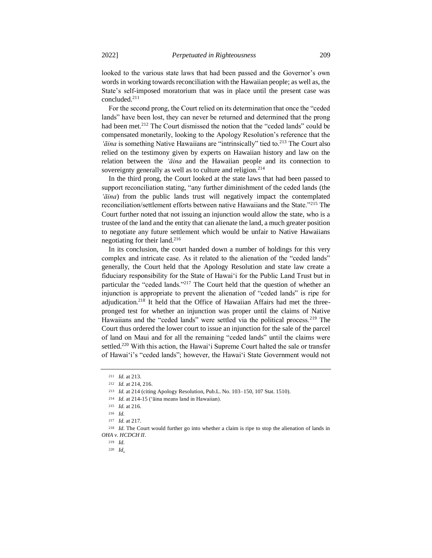looked to the various state laws that had been passed and the Governor's own words in working towards reconciliation with the Hawaiian people; as well as, the State's self-imposed moratorium that was in place until the present case was concluded.<sup>211</sup>

For the second prong, the Court relied on its determination that once the "ceded lands" have been lost, they can never be returned and determined that the prong had been met.<sup>212</sup> The Court dismissed the notion that the "ceded lands" could be compensated monetarily, looking to the Apology Resolution's reference that the '*āina* is something Native Hawaiians are "intrinsically" tied to.<sup>213</sup> The Court also relied on the testimony given by experts on Hawaiian history and law on the relation between the *'āina* and the Hawaiian people and its connection to sovereignty generally as well as to culture and religion.<sup>214</sup>

In the third prong, the Court looked at the state laws that had been passed to support reconciliation stating, "any further diminishment of the ceded lands (the *'āina*) from the public lands trust will negatively impact the contemplated reconciliation/settlement efforts between native Hawaiians and the State."<sup>215</sup> The Court further noted that not issuing an injunction would allow the state, who is a trustee of the land and the entity that can alienate the land, a much greater position to negotiate any future settlement which would be unfair to Native Hawaiians negotiating for their land.<sup>216</sup>

In its conclusion, the court handed down a number of holdings for this very complex and intricate case. As it related to the alienation of the "ceded lands" generally, the Court held that the Apology Resolution and state law create a fiduciary responsibility for the State of Hawaiʻi for the Public Land Trust but in particular the "ceded lands."<sup>217</sup> The Court held that the question of whether an injunction is appropriate to prevent the alienation of "ceded lands" is ripe for adjudication.<sup>218</sup> It held that the Office of Hawaiian Affairs had met the threepronged test for whether an injunction was proper until the claims of Native Hawaiians and the "ceded lands" were settled via the political process.<sup>219</sup> The Court thus ordered the lower court to issue an injunction for the sale of the parcel of land on Maui and for all the remaining "ceded lands" until the claims were settled.<sup>220</sup> With this action, the Hawai'i Supreme Court halted the sale or transfer of Hawaiʻi's "ceded lands"; however, the Hawaiʻi State Government would not

<sup>211</sup> *Id.* at 213.

<sup>212</sup> *Id.* at 214, 216.

<sup>213</sup> *Id.* at 214 (citing Apology Resolution, Pub.L. No. 103–150, 107 Stat. 1510).

<sup>214</sup> *Id.* at 214-15 ('āina means land in Hawaiian).

<sup>215</sup> *Id.* at 216.

<sup>216</sup> *Id.*

<sup>217</sup> *Id.* at 217.

<sup>218</sup> *Id.* The Court would further go into whether a claim is ripe to stop the alienation of lands in *OHA v. HCDCH II*.

<sup>219</sup> *Id.*

<sup>220</sup> *Id*.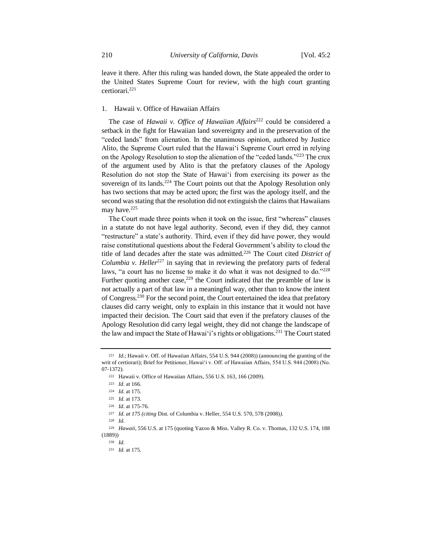leave it there. After this ruling was handed down, the State appealed the order to the United States Supreme Court for review, with the high court granting certiorari.<sup>221</sup>

## 1. Hawaii v. Office of Hawaiian Affairs

The case of *Hawaii v. Office of Hawaiian Affairs*<sup>222</sup> could be considered a setback in the fight for Hawaiian land sovereignty and in the preservation of the "ceded lands" from alienation. In the unanimous opinion, authored by Justice Alito, the Supreme Court ruled that the Hawaiʻi Supreme Court erred in relying on the Apology Resolution to stop the alienation of the "ceded lands."<sup>223</sup> The crux of the argument used by Alito is that the prefatory clauses of the Apology Resolution do not stop the State of Hawaiʻi from exercising its power as the sovereign of its lands.<sup>224</sup> The Court points out that the Apology Resolution only has two sections that may be acted upon; the first was the apology itself, and the second was stating that the resolution did not extinguish the claims that Hawaiians may have.<sup>225</sup>

The Court made three points when it took on the issue, first "whereas" clauses in a statute do not have legal authority. Second, even if they did, they cannot "restructure" a state's authority. Third, even if they did have power, they would raise constitutional questions about the Federal Government's ability to cloud the title of land decades after the state was admitted.<sup>226</sup> The Court cited *District of Columbia v. Heller*<sup>227</sup> in saying that in reviewing the prefatory parts of federal laws, "a court has no license to make it do what it was not designed to do."228 Further quoting another case,  $229$  the Court indicated that the preamble of law is not actually a part of that law in a meaningful way, other than to know the intent of Congress.<sup>230</sup> For the second point, the Court entertained the idea that prefatory clauses did carry weight, only to explain in this instance that it would not have impacted their decision. The Court said that even if the prefatory clauses of the Apology Resolution did carry legal weight, they did not change the landscape of the law and impact the State of Hawaiʻi's rights or obligations.<sup>231</sup> The Court stated

<sup>228</sup> *Id.*

<sup>221</sup> *Id.*; Hawaii v. Off. of Hawaiian Affairs*,* 554 U.S. 944 (2008)) (announcing the granting of the writ of certiorari); Brief for Petitioner, Hawaiʻi v. Off. of Hawaiian Affairs, 554 U.S. 944 (2008) (No. 07-1372).

<sup>222</sup> Hawaii v. Office of Hawaiian Affairs, 556 U.S. 163, 166 (2009).

<sup>223</sup> *Id.* at 166.

<sup>224</sup> *Id.* at 175.

<sup>225</sup> *Id.* at 173.

<sup>226</sup> *Id.* at 175-76.

<sup>227</sup> *Id. at 175 (citing* Dist. of Columbia v. Heller, 554 U.S. 570, 578 (2008)*).*

<sup>229</sup> *Hawaii*, 556 U.S. at 175 (quoting Yazoo & Miss. Valley R. Co. v. Thomas, 132 U.S. 174, 188 (1889))

<sup>230</sup> *Id.*

<sup>231</sup> *Id.* at 175.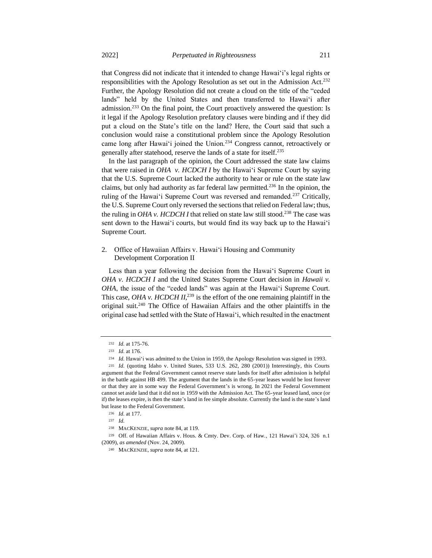that Congress did not indicate that it intended to change Hawaiʻi's legal rights or responsibilities with the Apology Resolution as set out in the Admission Act.<sup>232</sup> Further, the Apology Resolution did not create a cloud on the title of the "ceded lands" held by the United States and then transferred to Hawaiʻi after admission.<sup>233</sup> On the final point, the Court proactively answered the question: Is it legal if the Apology Resolution prefatory clauses were binding and if they did put a cloud on the State's title on the land? Here, the Court said that such a conclusion would raise a constitutional problem since the Apology Resolution came long after Hawaiʻi joined the Union.<sup>234</sup> Congress cannot, retroactively or generally after statehood, reserve the lands of a state for itself.<sup>235</sup>

In the last paragraph of the opinion, the Court addressed the state law claims that were raised in *OHA v. HCDCH I* by the Hawaiʻi Supreme Court by saying that the U.S. Supreme Court lacked the authority to hear or rule on the state law claims, but only had authority as far federal law permitted.<sup>236</sup> In the opinion, the ruling of the Hawai<sup>'</sup>i Supreme Court was reversed and remanded.<sup>237</sup> Critically, the U.S. Supreme Court only reversed the sections that relied on Federal law; thus, the ruling in *OHA v. HCDCH I* that relied on state law still stood.<sup>238</sup> The case was sent down to the Hawaiʻi courts, but would find its way back up to the Hawaiʻi Supreme Court.

## 2. Office of Hawaiian Affairs v. Hawaiʻi Housing and Community Development Corporation II

Less than a year following the decision from the Hawaiʻi Supreme Court in *OHA v. HCDCH I* and the United States Supreme Court decision in *Hawaii v. OHA*, the issue of the "ceded lands" was again at the Hawaiʻi Supreme Court. This case, *OHA v. HCDCH II*,<sup>239</sup> is the effort of the one remaining plaintiff in the original suit.<sup>240</sup> The Office of Hawaiian Affairs and the other plaintiffs in the original case had settled with the State of Hawaiʻi, which resulted in the enactment

<sup>232</sup> *Id.* at 175-76.

<sup>233</sup> *Id.* at 176.

<sup>234</sup> *Id.* Hawaiʻi was admitted to the Union in 1959, the Apology Resolution was signed in 1993.

<sup>235</sup> *Id.* (quoting Idaho v. United States, 533 U.S. 262, 280 (2001)) Interestingly, this Courts argument that the Federal Government cannot reserve state lands for itself after admission is helpful in the battle against HB 499. The argument that the lands in the 65-year leases would be lost forever or that they are in some way the Federal Government's is wrong. In 2021 the Federal Government cannot set aside land that it did not in 1959 with the Admission Act. The 65-year leased land, once (or if) the leases expire, is then the state's land in fee simple absolute. Currently the land is the state's land but lease to the Federal Government.

<sup>236</sup> *Id.* at 177.

<sup>237</sup> *Id.*

<sup>238</sup> MACKENZIE, *supra* note 84, at 119.

<sup>239</sup> Off. of Hawaiian Affairs v. Hous. & Cmty. Dev. Corp. of Haw., 121 Hawai'i 324, 326 n.1 (2009), *as amended* (Nov. 24, 2009).

<sup>240</sup> MACKENZIE, *supra* note 84, at 121.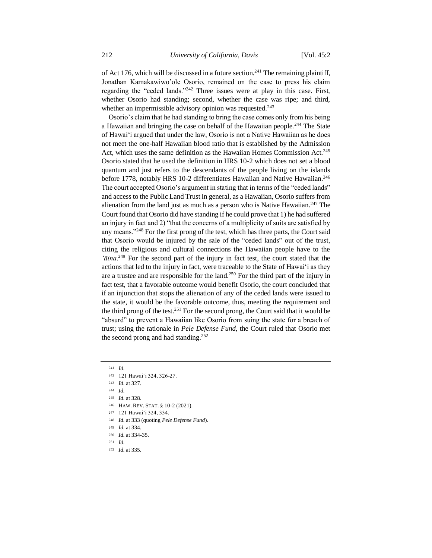of Act 176, which will be discussed in a future section.<sup>241</sup> The remaining plaintiff, Jonathan Kamakawiwo'ole Osorio, remained on the case to press his claim regarding the "ceded lands."<sup>242</sup> Three issues were at play in this case. First, whether Osorio had standing; second, whether the case was ripe; and third, whether an impermissible advisory opinion was requested.<sup>243</sup>

Osorio's claim that he had standing to bring the case comes only from his being a Hawaiian and bringing the case on behalf of the Hawaiian people.<sup>244</sup> The State of Hawaiʻi argued that under the law, Osorio is not a Native Hawaiian as he does not meet the one-half Hawaiian blood ratio that is established by the Admission Act, which uses the same definition as the Hawaiian Homes Commission Act.<sup>245</sup> Osorio stated that he used the definition in HRS 10-2 which does not set a blood quantum and just refers to the descendants of the people living on the islands before 1778, notably HRS 10-2 differentiates Hawaiian and Native Hawaiian.<sup>246</sup> The court accepted Osorio's argument in stating that in terms of the "ceded lands" and access to the Public Land Trust in general, as a Hawaiian, Osorio suffers from alienation from the land just as much as a person who is Native Hawaiian.<sup>247</sup> The Court found that Osorio did have standing if he could prove that 1) he had suffered an injury in fact and 2) "that the concerns of a multiplicity of suits are satisfied by any means."<sup>248</sup> For the first prong of the test, which has three parts, the Court said that Osorio would be injured by the sale of the "ceded lands" out of the trust, citing the religious and cultural connections the Hawaiian people have to the '*āina*.<sup>249</sup> For the second part of the injury in fact test, the court stated that the actions that led to the injury in fact, were traceable to the State of Hawaiʻi as they are a trustee and are responsible for the land.<sup>250</sup> For the third part of the injury in fact test, that a favorable outcome would benefit Osorio, the court concluded that if an injunction that stops the alienation of any of the ceded lands were issued to the state, it would be the favorable outcome, thus, meeting the requirement and the third prong of the test.<sup>251</sup> For the second prong, the Court said that it would be "absurd" to prevent a Hawaiian like Osorio from suing the state for a breach of trust; using the rationale in *Pele Defense Fund,* the Court ruled that Osorio met the second prong and had standing.<sup>252</sup>

- <sup>248</sup> *Id.* at 333 (quoting *Pele Defense Fund*).
- <sup>249</sup> *Id.* at 334.

<sup>241</sup> *Id.*

<sup>242</sup> 121 Hawaiʻi 324, 326-27.

<sup>243</sup> *Id.* at 327.

<sup>244</sup> *Id.*

<sup>245</sup> *Id.* at 328.

<sup>246</sup> HAW. REV. STAT. § 10-2 (2021).

<sup>247</sup> 121 Hawaiʻi 324, 334.

<sup>250</sup> *Id.* at 334-35.

<sup>251</sup> *Id.*

<sup>252</sup> *Id.* at 335.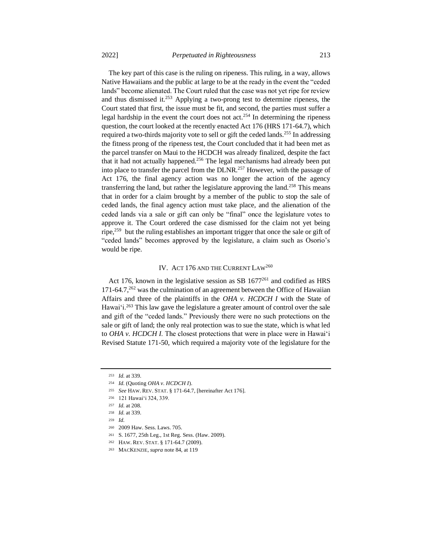The key part of this case is the ruling on ripeness. This ruling, in a way, allows Native Hawaiians and the public at large to be at the ready in the event the "ceded lands" become alienated. The Court ruled that the case was not yet ripe for review and thus dismissed it.<sup>253</sup> Applying a two-prong test to determine ripeness, the Court stated that first, the issue must be fit, and second, the parties must suffer a legal hardship in the event the court does not act.<sup>254</sup> In determining the ripeness question, the court looked at the recently enacted Act 176 (HRS 171-64.7), which required a two-thirds majority vote to sell or gift the ceded lands.<sup>255</sup> In addressing the fitness prong of the ripeness test, the Court concluded that it had been met as the parcel transfer on Maui to the HCDCH was already finalized, despite the fact that it had not actually happened.<sup>256</sup> The legal mechanisms had already been put into place to transfer the parcel from the DLNR.<sup>257</sup> However, with the passage of Act 176, the final agency action was no longer the action of the agency transferring the land, but rather the legislature approving the land.<sup>258</sup> This means that in order for a claim brought by a member of the public to stop the sale of ceded lands, the final agency action must take place, and the alienation of the ceded lands via a sale or gift can only be "final" once the legislature votes to approve it. The Court ordered the case dismissed for the claim not yet being ripe,<sup>259</sup> but the ruling establishes an important trigger that once the sale or gift of "ceded lands" becomes approved by the legislature, a claim such as Osorio's would be ripe.

## IV. ACT 176 AND THE CURRENT LAW<sup>260</sup>

Act 176, known in the legislative session as SB  $1677^{261}$  and codified as HRS 171-64.7, $^{262}$  was the culmination of an agreement between the Office of Hawaiian Affairs and three of the plaintiffs in the *OHA v. HCDCH I* with the State of Hawai'i.<sup>263</sup> This law gave the legislature a greater amount of control over the sale and gift of the "ceded lands." Previously there were no such protections on the sale or gift of land; the only real protection was to sue the state, which is what led to *OHA v. HCDCH I*. The closest protections that were in place were in Hawaiʻi Revised Statute 171-50, which required a majority vote of the legislature for the

<sup>253</sup> *Id.* at 339.

<sup>254</sup> *Id.* (Quoting *OHA v. HCDCH I*).

<sup>255</sup> *See* HAW. REV. STAT. § 171-64.7, [hereinafter Act 176].

<sup>256</sup> 121 Hawaiʻi 324, 339.

<sup>257</sup> *Id.* at 208.

<sup>258</sup> *Id.* at 339.

<sup>259</sup> *Id.*

<sup>260</sup> 2009 Haw. Sess. Laws. 705.

<sup>261</sup> S. 1677, 25th Leg., 1st Reg. Sess. (Haw. 2009).

<sup>262</sup> HAW. REV. STAT. § 171-64.7 (2009).

<sup>263</sup> MACKENZIE, *supra* note 84, at 119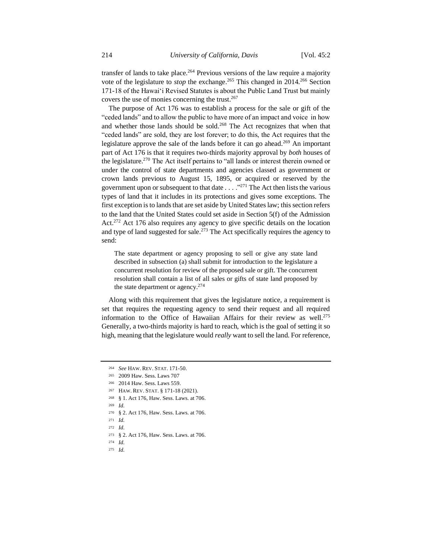transfer of lands to take place.<sup>264</sup> Previous versions of the law require a majority vote of the legislature to *stop* the exchange.<sup>265</sup> This changed in 2014.<sup>266</sup> Section 171-18 of the Hawaiʻi Revised Statutes is about the Public Land Trust but mainly covers the use of monies concerning the trust.<sup>267</sup>

The purpose of Act 176 was to establish a process for the sale or gift of the "ceded lands" and to allow the public to have more of an impact and voice in how and whether those lands should be sold.<sup>268</sup> The Act recognizes that when that "ceded lands" are sold, they are lost forever; to do this, the Act requires that the legislature approve the sale of the lands before it can go ahead.<sup>269</sup> An important part of Act 176 is that it requires two-thirds majority approval by *both* houses of the legislature.<sup>270</sup> The Act itself pertains to "all lands or interest therein owned or under the control of state departments and agencies classed as government or crown lands previous to August 15, 1895, or acquired or reserved by the government upon or subsequent to that date . . . . "<sup>271</sup> The Act then lists the various types of land that it includes in its protections and gives some exceptions. The first exception is to lands that are set aside by United States law; this section refers to the land that the United States could set aside in Section 5(f) of the Admission Act.<sup>272</sup> Act 176 also requires any agency to give specific details on the location and type of land suggested for sale.<sup>273</sup> The Act specifically requires the agency to send:

The state department or agency proposing to sell or give any state land described in subsection (a) shall submit for introduction to the legislature a concurrent resolution for review of the proposed sale or gift. The concurrent resolution shall contain a list of all sales or gifts of state land proposed by the state department or agency.<sup>274</sup>

Along with this requirement that gives the legislature notice, a requirement is set that requires the requesting agency to send their request and all required information to the Office of Hawaiian Affairs for their review as well.<sup>275</sup> Generally, a two-thirds majority is hard to reach, which is the goal of setting it so high, meaning that the legislature would *really* want to sell the land. For reference,

<sup>268</sup> § 1. Act 176, Haw. Sess. Laws. at 706.

<sup>275</sup> *Id.*

<sup>264</sup> *See* HAW. REV. STAT. 171-50.

<sup>265</sup> 2009 Haw. Sess. Laws 707

<sup>266</sup> 2014 Haw. Sess. Laws 559.

<sup>267</sup> HAW. REV. STAT. § 171-18 (2021).

<sup>269</sup> *Id.*

<sup>270</sup> § 2. Act 176, Haw. Sess. Laws. at 706.

<sup>271</sup> *Id.*

<sup>272</sup> *Id.*

<sup>273</sup> § 2. Act 176, Haw. Sess. Laws. at 706.

<sup>274</sup> *Id.*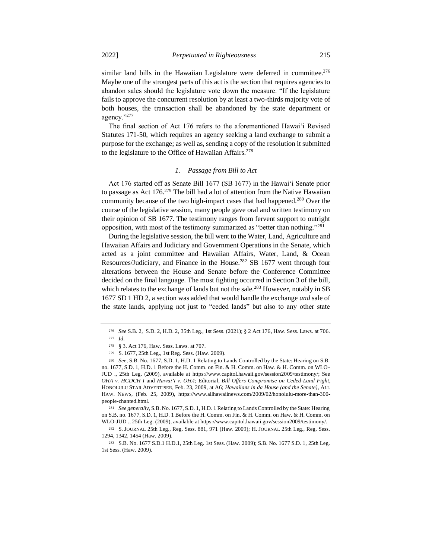similar land bills in the Hawaiian Legislature were deferred in committee.<sup>276</sup> Maybe one of the strongest parts of this act is the section that requires agencies to abandon sales should the legislature vote down the measure. "If the legislature fails to approve the concurrent resolution by at least a two-thirds majority vote of both houses, the transaction shall be abandoned by the state department or agency."<sup>277</sup>

The final section of Act 176 refers to the aforementioned Hawaiʻi Revised Statutes 171-50, which requires an agency seeking a land exchange to submit a purpose for the exchange; as well as, sending a copy of the resolution it submitted to the legislature to the Office of Hawaiian Affairs.<sup>278</sup>

## *1. Passage from Bill to Act*

Act 176 started off as Senate Bill 1677 (SB 1677) in the Hawaiʻi Senate prior to passage as Act  $176<sup>279</sup>$  The bill had a lot of attention from the Native Hawaiian community because of the two high-impact cases that had happened.<sup>280</sup> Over the course of the legislative session, many people gave oral and written testimony on their opinion of SB 1677. The testimony ranges from fervent support to outright opposition, with most of the testimony summarized as "better than nothing."<sup>281</sup>

During the legislative session, the bill went to the Water, Land, Agriculture and Hawaiian Affairs and Judiciary and Government Operations in the Senate, which acted as a joint committee and Hawaiian Affairs, Water, Land, & Ocean Resources/Judiciary, and Finance in the House.<sup>282</sup> SB 1677 went through four alterations between the House and Senate before the Conference Committee decided on the final language. The most fighting occurred in Section 3 of the bill, which relates to the exchange of lands but not the sale.<sup>283</sup> However, notably in SB 1677 SD 1 HD 2, a section was added that would handle the exchange *and* sale of the state lands, applying not just to "ceded lands" but also to any other state

<sup>281</sup> *See generally,* S.B. No. 1677, S.D. 1, H.D. 1 Relating to Lands Controlled by the State: Hearing on S.B. no. 1677, S.D. 1, H.D. 1 Before the H. Comm. on Fin. & H. Comm. on Haw. & H. Comm. on WLO-JUD ., 25th Leg. (2009), available at https://www.capitol.hawaii.gov/session2009/testimony/.

<sup>276</sup> *See* S.B. 2, S.D. 2, H.D. 2, 35th Leg., 1st Sess. (2021); § 2 Act 176*,* Haw. Sess. Laws. at 706.

<sup>277</sup> *Id*.

<sup>278</sup> § 3. Act 176, Haw. Sess. Laws. at 707.

<sup>279</sup> S. 1677, 25th Leg., 1st Reg. Sess. (Haw. 2009).

<sup>280</sup> *See,* S.B. No. 1677, S.D. 1, H.D. 1 Relating to Lands Controlled by the State: Hearing on S.B. no. 1677, S.D. 1, H.D. 1 Before the H. Comm. on Fin. & H. Comm. on Haw. & H. Comm. on WLO-JUD ., 25th Leg. (2009), available at https://www.capitol.hawaii.gov/session2009/testimony/; See *OHA v. HCDCH I* and *Hawaiʻi v. OHA*; Editorial, *Bill Offers Compromise on Ceded-Land Fight*, HONOLULU STAR ADVERTISER, Feb. 23, 2009, at A6; *Hawaiians in da House (and the Senate)*, ALL HAW. NEWS, (Feb. 25, 2009), https://www.allhawaiinews.com/2009/02/honolulu-more-than-300 people-chanted.html.

<sup>282</sup> S. JOURNAL 25th Leg., Reg. Sess. 881, 971 (Haw. 2009); H. JOURNAL 25th Leg., Reg. Sess. 1294, 1342, 1454 (Haw. 2009).

<sup>283</sup> S.B. No. 1677 S.D.1 H.D.1, 25th Leg. 1st Sess. (Haw. 2009); S.B. No. 1677 S.D. 1, 25th Leg. 1st Sess. (Haw. 2009).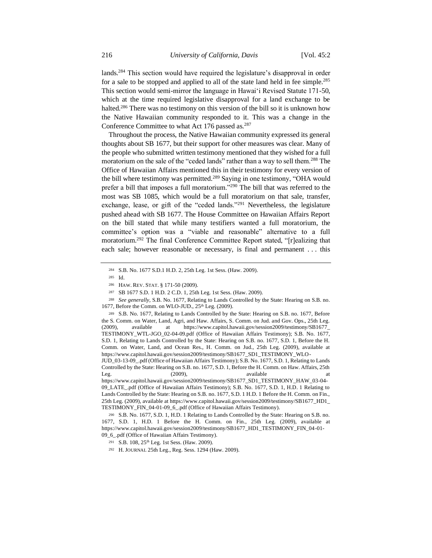lands.<sup>284</sup> This section would have required the legislature's disapproval in order for a sale to be stopped and applied to all of the state land held in fee simple.<sup>285</sup> This section would semi-mirror the language in Hawaiʻi Revised Statute 171-50, which at the time required legislative disapproval for a land exchange to be halted.<sup>286</sup> There was no testimony on this version of the bill so it is unknown how the Native Hawaiian community responded to it. This was a change in the Conference Committee to what Act 176 passed as.<sup>287</sup>

Throughout the process, the Native Hawaiian community expressed its general thoughts about SB 1677, but their support for other measures was clear. Many of the people who submitted written testimony mentioned that they wished for a full moratorium on the sale of the "ceded lands" rather than a way to sell them.<sup>288</sup> The Office of Hawaiian Affairs mentioned this in their testimony for every version of the bill where testimony was permitted.<sup>289</sup> Saying in one testimony, "OHA would prefer a bill that imposes a full moratorium."<sup>290</sup> The bill that was referred to the most was SB 1085, which would be a full moratorium on that sale, transfer, exchange, lease, or gift of the "ceded lands."<sup>291</sup> Nevertheless, the legislature pushed ahead with SB 1677. The House Committee on Hawaiian Affairs Report on the bill stated that while many testifiers wanted a full moratorium, the committee's option was a "viable and reasonable" alternative to a full moratorium.<sup>292</sup> The final Conference Committee Report stated, "[r]ealizing that each sale; however reasonable or necessary, is final and permanent . . . this

<sup>284</sup> S.B. No. 1677 S.D.1 H.D. 2, 25th Leg. 1st Sess. (Haw. 2009).

<sup>285</sup> Id.

<sup>286</sup> HAW. REV. STAT. § 171-50 (2009).

<sup>287</sup> SB 1677 S.D. 1 H.D. 2 C.D. 1, 25th Leg. 1st Sess. (Haw. 2009).

<sup>288</sup> *See generally,* S.B. No. 1677, Relating to Lands Controlled by the State: Hearing on S.B. no. 1677, Before the Comm. on WLO-JUD., 25<sup>th</sup> Leg. (2009).

<sup>289</sup> S.B. No. 1677, Relating to Lands Controlled by the State: Hearing on S.B. no. 1677, Before the S. Comm. on Water, Land, Agri, and Haw. Affairs, S. Comm. on Jud. and Gov. Ops., 25th Leg. (2009), available at https://www.capitol.hawaii.gov/session2009/testimony/SB1677\_ TESTIMONY\_WTL-JGO\_02-04-09.pdf (Office of Hawaiian Affairs Testimony); S.B. No. 1677, S.D. 1, Relating to Lands Controlled by the State: Hearing on S.B. no. 1677, S.D. 1, Before the H. Comm. on Water, Land, and Ocean Res., H. Comm. on Jud., 25th Leg. (2009), available at https://www.capitol.hawaii.gov/session2009/testimony/SB1677\_SD1\_TESTIMONY\_WLO-JUD\_03-13-09\_.pdf (Office of Hawaiian Affairs Testimony); S.B. No. 1677, S.D. 1, Relating to Lands

Controlled by the State: Hearing on S.B. no. 1677, S.D. 1, Before the H. Comm. on Haw. Affairs, 25th Leg. (2009), available at the attack and at the same at a control at a control of  $\alpha$  and  $\alpha$  at a control of  $\alpha$  and  $\alpha$  at a control of  $\alpha$  and  $\alpha$  and  $\alpha$  are a control of  $\alpha$  and  $\alpha$  and  $\alpha$  are a control of https://www.capitol.hawaii.gov/session2009/testimony/SB1677\_SD1\_TESTIMONY\_HAW\_03-04- 09\_LATE\_.pdf (Office of Hawaiian Affairs Testimony); S.B. No. 1677, S.D. 1, H.D. 1 Relating to Lands Controlled by the State: Hearing on S.B. no. 1677, S.D. 1 H.D. 1 Before the H. Comm. on Fin., 25th Leg. (2009), available at https://www.capitol.hawaii.gov/session2009/testimony/SB1677\_HD1\_ TESTIMONY\_FIN\_04-01-09\_6\_.pdf (Office of Hawaiian Affairs Testimony).

<sup>290</sup> S.B. No. 1677, S.D. 1, H.D. 1 Relating to Lands Controlled by the State: Hearing on S.B. no. 1677, S.D. 1, H.D. 1 Before the H. Comm. on Fin., 25th Leg. (2009), available at https://www.capitol.hawaii.gov/session2009/testimony/SB1677\_HD1\_TESTIMONY\_FIN\_04-01- 09\_6\_.pdf (Office of Hawaiian Affairs Testimony).

<sup>291</sup> S.B. 108, 25<sup>th</sup> Leg. 1st Sess. (Haw. 2009).

<sup>292</sup> H. JOURNAL 25th Leg., Reg. Sess. 1294 (Haw. 2009).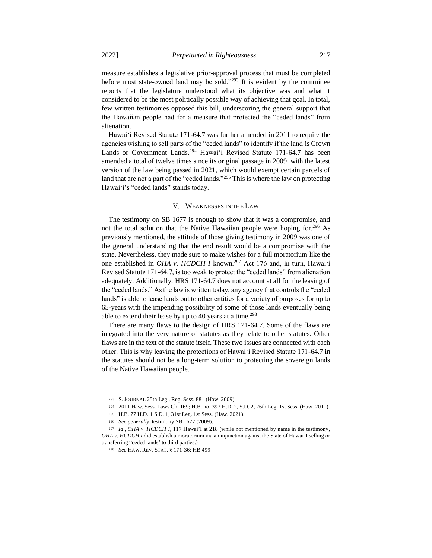measure establishes a legislative prior-approval process that must be completed before most state-owned land may be sold."<sup>293</sup> It is evident by the committee reports that the legislature understood what its objective was and what it considered to be the most politically possible way of achieving that goal. In total, few written testimonies opposed this bill, underscoring the general support that the Hawaiian people had for a measure that protected the "ceded lands" from alienation.

Hawaiʻi Revised Statute 171-64.7 was further amended in 2011 to require the agencies wishing to sell parts of the "ceded lands" to identify if the land is Crown Lands or Government Lands.<sup>294</sup> Hawai'i Revised Statute 171-64.7 has been amended a total of twelve times since its original passage in 2009, with the latest version of the law being passed in 2021, which would exempt certain parcels of land that are not a part of the "ceded lands."<sup>295</sup> This is where the law on protecting Hawaiʻi's "ceded lands" stands today.

#### V. WEAKNESSES IN THE LAW

The testimony on SB 1677 is enough to show that it was a compromise, and not the total solution that the Native Hawaiian people were hoping for.<sup>296</sup> As previously mentioned, the attitude of those giving testimony in 2009 was one of the general understanding that the end result would be a compromise with the state. Nevertheless, they made sure to make wishes for a full moratorium like the one established in *OHA v. HCDCH I* known.<sup>297</sup> Act 176 and, in turn, Hawaiʻi Revised Statute 171-64.7, is too weak to protect the "ceded lands" from alienation adequately. Additionally, HRS 171-64.7 does not account at all for the leasing of the "ceded lands." As the law is written today, any agency that controls the "ceded lands" is able to lease lands out to other entities for a variety of purposes for up to 65-years with the impending possibility of some of those lands eventually being able to extend their lease by up to 40 years at a time.<sup>298</sup>

There are many flaws to the design of HRS 171-64.7. Some of the flaws are integrated into the very nature of statutes as they relate to other statutes. Other flaws are in the text of the statute itself. These two issues are connected with each other. This is why leaving the protections of Hawaiʻi Revised Statute 171-64.7 in the statutes should not be a long-term solution to protecting the sovereign lands of the Native Hawaiian people.

<sup>293</sup> S. JOURNAL 25th Leg., Reg. Sess. 881 (Haw. 2009).

<sup>294</sup> 2011 Haw. Sess. Laws Ch. 169; H.B. no. 397 H.D. 2, S.D. 2, 26th Leg. 1st Sess. (Haw. 2011).

<sup>295</sup> H.B. 77 H.D. 1 S.D. 1, 31st Leg. 1st Sess. (Haw. 2021).

<sup>296</sup> *See generally*, testimony SB 1677 (2009).

<sup>297</sup> *Id*., *OHA v. HCDCH I*, 117 Hawai'I at 218 (while not mentioned by name in the testimony, *OHA v. HCDCH I* did establish a moratorium via an injunction against the State of Hawai'I selling or transferring "ceded lands' to third parties.)

<sup>298</sup> *See* HAW. REV. STAT. § 171-36; HB 499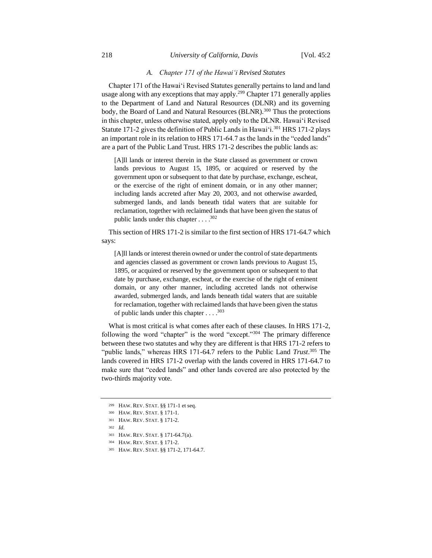#### 218 *University of California, Davis* [Vol. 45:2

## *A. Chapter 171 of the Hawaiʻi Revised Statutes*

Chapter 171 of the Hawaiʻi Revised Statutes generally pertains to land and land usage along with any exceptions that may apply.<sup>299</sup> Chapter 171 generally applies to the Department of Land and Natural Resources (DLNR) and its governing body, the Board of Land and Natural Resources (BLNR).<sup>300</sup> Thus the protections in this chapter, unless otherwise stated, apply only to the DLNR. Hawaiʻi Revised Statute 171-2 gives the definition of Public Lands in Hawaiʻi.<sup>301</sup> HRS 171-2 plays an important role in its relation to HRS 171-64.7 as the lands in the "ceded lands" are a part of the Public Land Trust. HRS 171-2 describes the public lands as:

[A]ll lands or interest therein in the State classed as government or crown lands previous to August 15, 1895, or acquired or reserved by the government upon or subsequent to that date by purchase, exchange, escheat, or the exercise of the right of eminent domain, or in any other manner; including lands accreted after May 20, 2003, and not otherwise awarded, submerged lands, and lands beneath tidal waters that are suitable for reclamation, together with reclaimed lands that have been given the status of public lands under this chapter  $\dots$  .<sup>302</sup>

This section of HRS 171-2 is similar to the first section of HRS 171-64.7 which says:

[A]ll lands or interest therein owned or under the control of state departments and agencies classed as government or crown lands previous to August 15, 1895, or acquired or reserved by the government upon or subsequent to that date by purchase, exchange, escheat, or the exercise of the right of eminent domain, or any other manner, including accreted lands not otherwise awarded, submerged lands, and lands beneath tidal waters that are suitable for reclamation, together with reclaimed lands that have been given the status of public lands under this chapter  $\dots$  .<sup>303</sup>

What is most critical is what comes after each of these clauses. In HRS 171-2, following the word "chapter" is the word "except."<sup>304</sup> The primary difference between these two statutes and why they are different is that HRS 171-2 refers to "public lands," whereas HRS 171-64.7 refers to the Public Land *Trust*. <sup>305</sup> The lands covered in HRS 171-2 overlap with the lands covered in HRS 171-64.7 to make sure that "ceded lands" and other lands covered are also protected by the two-thirds majority vote.

<sup>299</sup> HAW. REV. STAT. §§ 171-1 et seq.

<sup>300</sup> HAW. REV. STAT. § 171-1.

<sup>301</sup> HAW. REV. STAT. § 171-2.

<sup>302</sup> *Id.*

<sup>303</sup> HAW. REV. STAT. § 171-64.7(a).

<sup>304</sup> HAW. REV. STAT. § 171-2.

<sup>305</sup> HAW. REV. STAT. §§ 171-2, 171-64.7.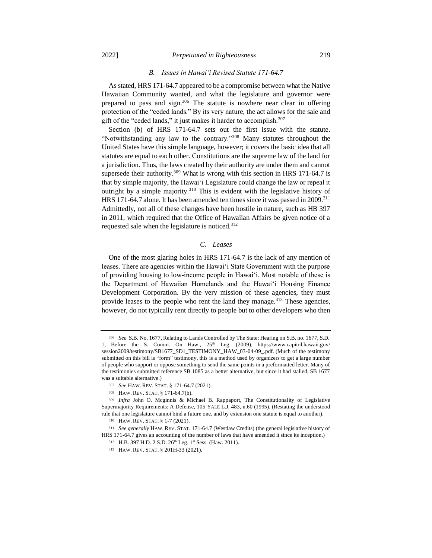## 2022] *Perpetuated in Righteousness* 219

## *B. Issues in Hawaiʻi Revised Statute 171-64.7*

As stated, HRS 171-64.7 appeared to be a compromise between what the Native Hawaiian Community wanted, and what the legislature and governor were prepared to pass and sign.<sup>306</sup> The statute is nowhere near clear in offering protection of the "ceded lands." By its very nature, the act allows for the sale and gift of the "ceded lands," it just makes it harder to accomplish.<sup>307</sup>

Section (b) of HRS 171-64.7 sets out the first issue with the statute. "Notwithstanding any law to the contrary."<sup>308</sup> Many statutes throughout the United States have this simple language, however; it covers the basic idea that all statutes are equal to each other. Constitutions are the supreme law of the land for a jurisdiction. Thus, the laws created by their authority are under them and cannot supersede their authority.<sup>309</sup> What is wrong with this section in HRS 171-64.7 is that by simple majority, the Hawaiʻi Legislature could change the law or repeal it outright by a simple majority.<sup>310</sup> This is evident with the legislative history of HRS 171-64.7 alone. It has been amended ten times since it was passed in 2009.<sup>311</sup> Admittedly, not all of these changes have been hostile in nature, such as HB 397 in 2011, which required that the Office of Hawaiian Affairs be given notice of a requested sale when the legislature is noticed.<sup>312</sup>

## *C. Leases*

One of the most glaring holes in HRS 171-64.7 is the lack of any mention of leases. There are agencies within the Hawaiʻi State Government with the purpose of providing housing to low-income people in Hawaiʻi. Most notable of these is the Department of Hawaiian Homelands and the Hawaiʻi Housing Finance Development Corporation. By the very mission of these agencies, they must provide leases to the people who rent the land they manage.<sup>313</sup> These agencies, however, do not typically rent directly to people but to other developers who then

<sup>306</sup> *See* S.B. No. 1677, Relating to Lands Controlled by The State: Hearing on S.B. no. 1677, S.D. 1, Before the S. Comm. On Haw., 25<sup>th</sup> Leg. (2009), https://www.capitol.hawaii.gov/ session2009/testimony/SB1677\_SD1\_TESTIMONY\_HAW\_03-04-09\_.pdf. (Much of the testimony submitted on this bill is "form" testimony, this is a method used by organizers to get a large number of people who support or oppose something to send the same points in a preformatted letter. Many of the testimonies submitted reference SB 1085 as a better alternative, but since it had stalled, SB 1677 was a suitable alternative.)

<sup>307</sup> *See* HAW. REV. STAT. § 171-64.7 (2021).

<sup>308</sup> HAW. REV. STAT. § 171-64.7(b).

<sup>309</sup> *Infra* John O. Mcginnis & Michael B. Rappaport, The Constitutionality of Legislative Supermajority Requirements: A Defense, 105 YALE L.J. 483, n.60 (1995). (Restating the understood rule that one legislature cannot bind a future one, and by extension one statute is equal to another).

<sup>310</sup> HAW. REV. STAT. § 1-7 (2021).

<sup>311</sup> *See generally* HAW. REV. STAT. 171-64.7 (Westlaw Credits) (the general legislative history of HRS 171-64.7 gives an accounting of the number of laws that have amended it since its inception.)

<sup>312</sup> H.B. 397 H.D. 2 S.D. 26<sup>th</sup> Leg. 1st Sess. (Haw. 2011).

<sup>313</sup> HAW. REV. STAT. § 201H-33 (2021).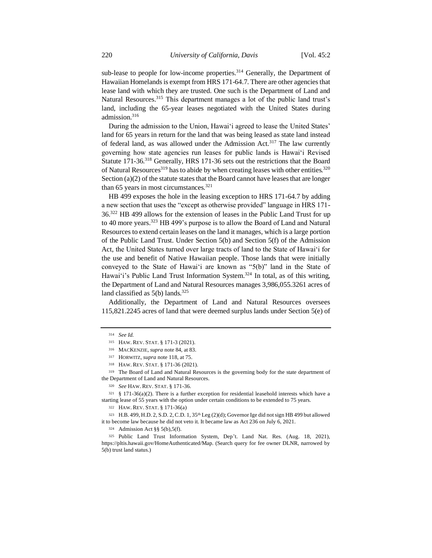sub-lease to people for low-income properties.<sup>314</sup> Generally, the Department of Hawaiian Homelands is exempt from HRS 171-64.7. There are other agencies that lease land with which they are trusted. One such is the Department of Land and Natural Resources.<sup>315</sup> This department manages a lot of the public land trust's land, including the 65-year leases negotiated with the United States during admission.<sup>316</sup>

During the admission to the Union, Hawaiʻi agreed to lease the United States' land for 65 years in return for the land that was being leased as state land instead of federal land, as was allowed under the Admission Act.<sup>317</sup> The law currently governing how state agencies run leases for public lands is Hawaiʻi Revised Statute 171-36.<sup>318</sup> Generally, HRS 171-36 sets out the restrictions that the Board of Natural Resources<sup>319</sup> has to abide by when creating leases with other entities.<sup>320</sup> Section (a)(2) of the statute states that the Board cannot have leases that are longer than 65 years in most circumstances. $321$ 

HB 499 exposes the hole in the leasing exception to HRS 171-64.7 by adding a new section that uses the "except as otherwise provided" language in HRS 171- 36.<sup>322</sup> HB 499 allows for the extension of leases in the Public Land Trust for up to 40 more years.<sup>323</sup> HB 499's purpose is to allow the Board of Land and Natural Resources to extend certain leases on the land it manages, which is a large portion of the Public Land Trust. Under Section 5(b) and Section 5(f) of the Admission Act, the United States turned over large tracts of land to the State of Hawaiʻi for the use and benefit of Native Hawaiian people. Those lands that were initially conveyed to the State of Hawaiʻi are known as "5(b)" land in the State of Hawaiʻi's Public Land Trust Information System.<sup>324</sup> In total, as of this writing, the Department of Land and Natural Resources manages 3,986,055.3261 acres of land classified as  $5(b)$  lands.<sup>325</sup>

Additionally, the Department of Land and Natural Resources oversees 115,821.2245 acres of land that were deemed surplus lands under Section 5(e) of

<sup>314</sup> *See Id.*

<sup>315</sup> HAW. REV. STAT. § 171-3 (2021).

<sup>316</sup> MACKENZIE, *supra* note 84, at 83.

<sup>317</sup> HORWITZ, *supra* note 118, at 75.

<sup>318</sup> HAW. REV. STAT. § 171-36 (2021).

<sup>319</sup> The Board of Land and Natural Resources is the governing body for the state department of the Department of Land and Natural Resources.

<sup>320</sup> *See* HAW. REV. STAT. § 171-36.

 $321 \& 171-36(a)(2)$ . There is a further exception for residential leasehold interests which have a starting lease of 55 years with the option under certain conditions to be extended to 75 years.

<sup>322</sup> HAW. REV. STAT. § 171-36(a)

<sup>323</sup> H.B. 499, H.D. 2, S.D. 2, C.D. 1,  $35<sup>th</sup>$  Leg (2)(d); Governor Ige did not sign HB 499 but allowed it to become law because he did not veto it. It became law as Act 236 on July 6, 2021.

<sup>324</sup> Admission Act §§ 5(b),5(f).

<sup>325</sup> Public Land Trust Information System, Dep't. Land Nat. Res. (Aug. 18, 2021), https://pltis.hawaii.gov/HomeAuthenticated/Map. (Search query for fee owner DLNR, narrowed by 5(b) trust land status.)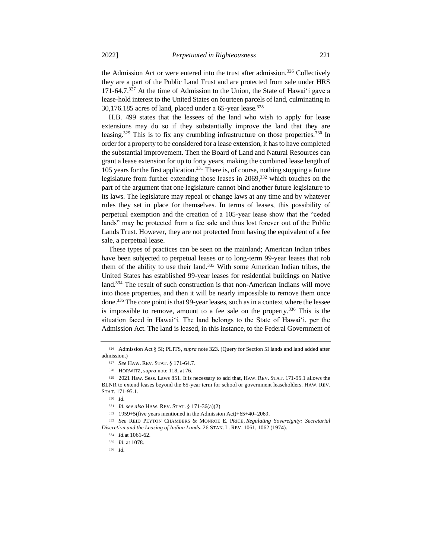the Admission Act or were entered into the trust after admission.<sup>326</sup> Collectively they are a part of the Public Land Trust and are protected from sale under HRS  $171-64.7$ <sup>327</sup> At the time of Admission to the Union, the State of Hawai<sup>'</sup>i gave a lease-hold interest to the United States on fourteen parcels of land, culminating in 30,176.185 acres of land, placed under a 65-year lease.<sup>328</sup>

H.B. 499 states that the lessees of the land who wish to apply for lease extensions may do so if they substantially improve the land that they are leasing.<sup>329</sup> This is to fix any crumbling infrastructure on those properties.<sup>330</sup> In order for a property to be considered for a lease extension, it has to have completed the substantial improvement. Then the Board of Land and Natural Resources can grant a lease extension for up to forty years, making the combined lease length of 105 years for the first application.<sup>331</sup> There is, of course, nothing stopping a future legislature from further extending those leases in 2069,<sup>332</sup> which touches on the part of the argument that one legislature cannot bind another future legislature to its laws. The legislature may repeal or change laws at any time and by whatever rules they set in place for themselves. In terms of leases, this possibility of perpetual exemption and the creation of a 105-year lease show that the "ceded lands" may be protected from a fee sale and thus lost forever out of the Public Lands Trust. However, they are not protected from having the equivalent of a fee sale, a perpetual lease.

These types of practices can be seen on the mainland; American Indian tribes have been subjected to perpetual leases or to long-term 99-year leases that rob them of the ability to use their land.<sup>333</sup> With some American Indian tribes, the United States has established 99-year leases for residential buildings on Native land.<sup>334</sup> The result of such construction is that non-American Indians will move into those properties, and then it will be nearly impossible to remove them once done.<sup>335</sup> The core point is that 99-year leases, such as in a context where the lessee is impossible to remove, amount to a fee sale on the property.<sup>336</sup> This is the situation faced in Hawaiʻi. The land belongs to the State of Hawaiʻi, per the Admission Act. The land is leased, in this instance, to the Federal Government of

<sup>326</sup> Admission Act § 5I; PLITS, *supra* note 323. (Query for Section 5I lands and land added after admission.)

<sup>327</sup> *See* HAW. REV. STAT. § 171-64.7.

<sup>328</sup> HORWITZ, *supra* note 118, at 76.

<sup>329</sup> 2021 Haw. Sess. Laws 851. It is necessary to add that, HAW. REV. STAT. 171-95.1 allows the BLNR to extend leases beyond the 65-year term for school or government leaseholders. HAW. REV. STAT. 171-95.1.

<sup>330</sup> *Id.*

<sup>331</sup> *Id. see also* HAW. REV. STAT. § 171-36(a)(2)

<sup>332</sup> 1959+5(five years mentioned in the Admission Act)+65+40=2069.

<sup>333</sup> *See* REID PEYTON CHAMBERS & MONROE E. PRICE, *Regulating Sovereignty: Secretarial Discretion and the Leasing of Indian Lands*, 26 STAN. L. REV. 1061, 1062 (1974).

<sup>334</sup> *Id.*at 1061-62.

<sup>335</sup> *Id.* at 1078.

<sup>336</sup> *Id.*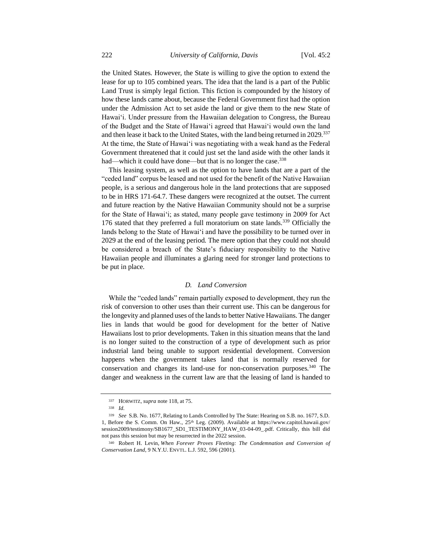the United States. However, the State is willing to give the option to extend the lease for up to 105 combined years. The idea that the land is a part of the Public Land Trust is simply legal fiction. This fiction is compounded by the history of how these lands came about, because the Federal Government first had the option under the Admission Act to set aside the land or give them to the new State of Hawaiʻi. Under pressure from the Hawaiian delegation to Congress, the Bureau of the Budget and the State of Hawaiʻi agreed that Hawaiʻi would own the land and then lease it back to the United States, with the land being returned in 2029.<sup>337</sup> At the time, the State of Hawaiʻi was negotiating with a weak hand as the Federal Government threatened that it could just set the land aside with the other lands it had—which it could have done—but that is no longer the case.<sup>338</sup>

This leasing system, as well as the option to have lands that are a part of the "ceded land" corpus be leased and not used for the benefit of the Native Hawaiian people, is a serious and dangerous hole in the land protections that are supposed to be in HRS 171-64.7. These dangers were recognized at the outset. The current and future reaction by the Native Hawaiian Community should not be a surprise for the State of Hawaiʻi; as stated, many people gave testimony in 2009 for Act 176 stated that they preferred a full moratorium on state lands.<sup>339</sup> Officially the lands belong to the State of Hawaiʻi and have the possibility to be turned over in 2029 at the end of the leasing period. The mere option that they could not should be considered a breach of the State's fiduciary responsibility to the Native Hawaiian people and illuminates a glaring need for stronger land protections to be put in place.

## *D. Land Conversion*

While the "ceded lands" remain partially exposed to development, they run the risk of conversion to other uses than their current use. This can be dangerous for the longevity and planned uses of the lands to better Native Hawaiians. The danger lies in lands that would be good for development for the better of Native Hawaiians lost to prior developments. Taken in this situation means that the land is no longer suited to the construction of a type of development such as prior industrial land being unable to support residential development. Conversion happens when the government takes land that is normally reserved for conservation and changes its land-use for non-conservation purposes.<sup>340</sup> The danger and weakness in the current law are that the leasing of land is handed to

<sup>337</sup> HORWITZ, *supra* note 118, at 75.

<sup>338</sup> *Id.*

<sup>339</sup> *See* S.B. No. 1677, Relating to Lands Controlled by The State: Hearing on S.B. no. 1677, S.D. 1, Before the S. Comm. On Haw., 25th Leg. (2009). Available at https://www.capitol.hawaii.gov/ session2009/testimony/SB1677\_SD1\_TESTIMONY\_HAW\_03-04-09\_.pdf. Critically, this bill did not pass this session but may be resurrected in the 2022 session.

<sup>340</sup> Robert H. Levin, *When Forever Proves Fleeting: The Condemnation and Conversion of Conservation Land*, 9 N.Y.U. ENVTL. L.J. 592, 596 (2001).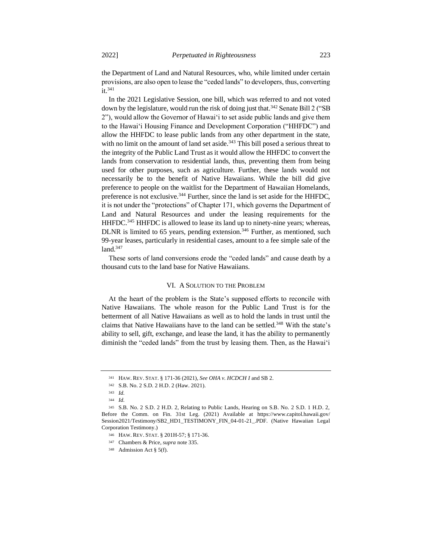the Department of Land and Natural Resources, who, while limited under certain provisions, are also open to lease the "ceded lands" to developers, thus, converting it.<sup>341</sup>

In the 2021 Legislative Session, one bill, which was referred to and not voted down by the legislature, would run the risk of doing just that.<sup>342</sup> Senate Bill 2 ("SB 2"), would allow the Governor of Hawaiʻi to set aside public lands and give them to the Hawaiʻi Housing Finance and Development Corporation ("HHFDC") and allow the HHFDC to lease public lands from any other department in the state, with no limit on the amount of land set aside.<sup>343</sup> This bill posed a serious threat to the integrity of the Public Land Trust as it would allow the HHFDC to convert the lands from conservation to residential lands, thus, preventing them from being used for other purposes, such as agriculture. Further, these lands would not necessarily be to the benefit of Native Hawaiians. While the bill did give preference to people on the waitlist for the Department of Hawaiian Homelands, preference is not exclusive.<sup>344</sup> Further, since the land is set aside for the HHFDC, it is not under the "protections" of Chapter 171, which governs the Department of Land and Natural Resources and under the leasing requirements for the HHFDC.<sup>345</sup> HHFDC is allowed to lease its land up to ninety-nine years; whereas, DLNR is limited to 65 years, pending extension.<sup>346</sup> Further, as mentioned, such 99-year leases, particularly in residential cases, amount to a fee simple sale of the  $land.<sup>347</sup>$ 

These sorts of land conversions erode the "ceded lands" and cause death by a thousand cuts to the land base for Native Hawaiians.

## VI. A SOLUTION TO THE PROBLEM

At the heart of the problem is the State's supposed efforts to reconcile with Native Hawaiians. The whole reason for the Public Land Trust is for the betterment of all Native Hawaiians as well as to hold the lands in trust until the claims that Native Hawaiians have to the land can be settled.<sup>348</sup> With the state's ability to sell, gift, exchange, and lease the land, it has the ability to permanently diminish the "ceded lands" from the trust by leasing them. Then, as the Hawaiʻi

<sup>341</sup> HAW. REV. STAT. § 171-36 (2021), *See OHA v. HCDCH I* and SB 2.

<sup>342</sup> S.B. No. 2 S.D. 2 H.D. 2 (Haw. 2021).

<sup>343</sup> *Id.*

<sup>344</sup> *Id.*

<sup>345</sup> S.B. No. 2 S.D. 2 H.D. 2, Relating to Public Lands, Hearing on S.B. No. 2 S.D. 1 H.D. 2, Before the Comm. on Fin. 31st Leg. (2021) Available at https://www.capitol.hawaii.gov/ Session2021/Testimony/SB2\_HD1\_TESTIMONY\_FIN\_04-01-21\_.PDF. (Native Hawaiian Legal Corporation Testimony.)

<sup>346</sup> HAW. REV. STAT. § 201H-57; § 171-36.

<sup>347</sup> Chambers & Price, *supra* note 335.

<sup>348</sup> Admission Act § 5(f).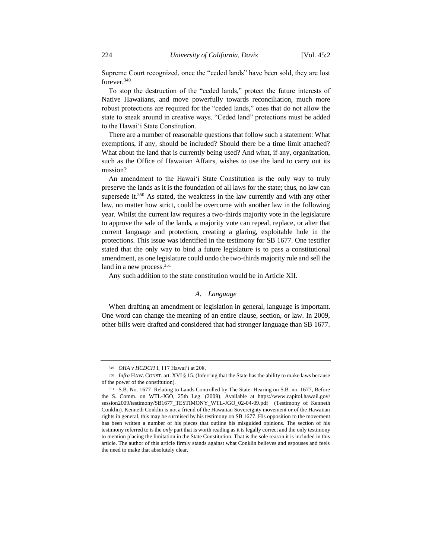Supreme Court recognized, once the "ceded lands" have been sold, they are lost forever.<sup>349</sup>

To stop the destruction of the "ceded lands," protect the future interests of Native Hawaiians, and move powerfully towards reconciliation, much more robust protections are required for the "ceded lands," ones that do not allow the state to sneak around in creative ways. "Ceded land" protections must be added to the Hawaiʻi State Constitution.

There are a number of reasonable questions that follow such a statement: What exemptions, if any, should be included? Should there be a time limit attached? What about the land that is currently being used? And what, if any, organization, such as the Office of Hawaiian Affairs, wishes to use the land to carry out its mission?

An amendment to the Hawaiʻi State Constitution is the only way to truly preserve the lands as it is the foundation of all laws for the state; thus, no law can supersede it.<sup>350</sup> As stated, the weakness in the law currently and with any other law, no matter how strict, could be overcome with another law in the following year. Whilst the current law requires a two-thirds majority vote in the legislature to approve the sale of the lands, a majority vote can repeal, replace, or alter that current language and protection, creating a glaring, exploitable hole in the protections. This issue was identified in the testimony for SB 1677. One testifier stated that the only way to bind a future legislature is to pass a constitutional amendment, as one legislature could undo the two-thirds majority rule and sell the land in a new process.<sup>351</sup>

Any such addition to the state constitution would be in Article XII.

## *A. Language*

When drafting an amendment or legislation in general, language is important. One word can change the meaning of an entire clause, section, or law. In 2009, other bills were drafted and considered that had stronger language than SB 1677.

<sup>349</sup> *OHA v HCDCH* I, 117 Hawaiʻi at 208.

<sup>350</sup> *Infra* HAW. CONST. art. XVI § 15. (Inferring that the State has the ability to make laws because of the power of the constitution).

<sup>351</sup> S.B. No. 1677 Relating to Lands Controlled by The State: Hearing on S.B. no. 1677, Before the S. Comm. on WTL-JGO, 25th Leg. (2009). Available at https://www.capitol.hawaii.gov/ session2009/testimony/SB1677\_TESTIMONY\_WTL-JGO\_02-04-09.pdf (Testimony of Kenneth Conklin). Kenneth Conklin is not a friend of the Hawaiian Sovereignty movement or of the Hawaiian rights in general, this may be surmised by his testimony on SB 1677. His opposition to the movement has been written a number of his pieces that outline his misguided opinions. The section of his testimony referred to is the *only* part that is worth reading as it is legally correct and the only testimony to mention placing the limitation in the State Constitution. That is the sole reason it is included in this article. The author of this article firmly stands against what Conklin believes and espouses and feels the need to make that absolutely clear.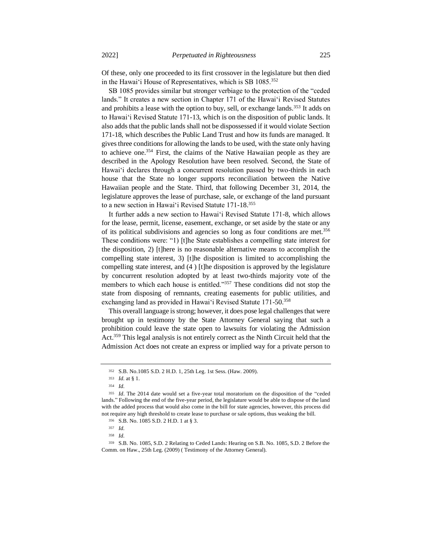Of these, only one proceeded to its first crossover in the legislature but then died in the Hawai'i House of Representatives, which is SB 1085.<sup>352</sup>

SB 1085 provides similar but stronger verbiage to the protection of the "ceded lands." It creates a new section in Chapter 171 of the Hawaiʻi Revised Statutes and prohibits a lease with the option to buy, sell, or exchange lands.<sup>353</sup> It adds on to Hawaiʻi Revised Statute 171-13, which is on the disposition of public lands. It also adds that the public lands shall not be dispossessed if it would violate Section 171-18, which describes the Public Land Trust and how its funds are managed. It gives three conditions for allowing the lands to be used, with the state only having to achieve one.<sup>354</sup> First, the claims of the Native Hawaiian people as they are described in the Apology Resolution have been resolved. Second, the State of Hawaiʻi declares through a concurrent resolution passed by two-thirds in each house that the State no longer supports reconciliation between the Native Hawaiian people and the State. Third, that following December 31, 2014, the legislature approves the lease of purchase, sale, or exchange of the land pursuant to a new section in Hawai'i Revised Statute 171-18.<sup>355</sup>

It further adds a new section to Hawaiʻi Revised Statute 171-8, which allows for the lease, permit, license, easement, exchange, or set aside by the state or any of its political subdivisions and agencies so long as four conditions are met.<sup>356</sup> These conditions were: "1) [t]he State establishes a compelling state interest for the disposition, 2) [t]here is no reasonable alternative means to accomplish the compelling state interest, 3) [t]he disposition is limited to accomplishing the compelling state interest, and (4 ) [t]he disposition is approved by the legislature by concurrent resolution adopted by at least two-thirds majority vote of the members to which each house is entitled."<sup>357</sup> These conditions did not stop the state from disposing of remnants, creating easements for public utilities, and exchanging land as provided in Hawai'i Revised Statute 171-50.<sup>358</sup>

This overall language is strong; however, it does pose legal challenges that were brought up in testimony by the State Attorney General saying that such a prohibition could leave the state open to lawsuits for violating the Admission Act.<sup>359</sup> This legal analysis is not entirely correct as the Ninth Circuit held that the Admission Act does not create an express or implied way for a private person to

<sup>352</sup> S.B. No.1085 S.D. 2 H.D. 1, 25th Leg. 1st Sess. (Haw. 2009).

<sup>353</sup> *Id.* at § 1.

<sup>354</sup> *Id.*

<sup>355</sup> *Id*. The 2014 date would set a five-year total moratorium on the disposition of the "ceded lands." Following the end of the five-year period, the legislature would be able to dispose of the land with the added process that would also come in the bill for state agencies, however, this process did not require any high threshold to create lease to purchase or sale options, thus weaking the bill.

<sup>356</sup> S.B. No. 1085 S.D. 2 H.D. 1 at § 3.

<sup>357</sup> *Id.*

<sup>358</sup> *Id.*

<sup>359</sup> S.B. No. 1085, S.D. 2 Relating to Ceded Lands: Hearing on S.B. No. 1085, S.D. 2 Before the Comm. on Haw., 25th Leg. (2009) ( Testimony of the Attorney General).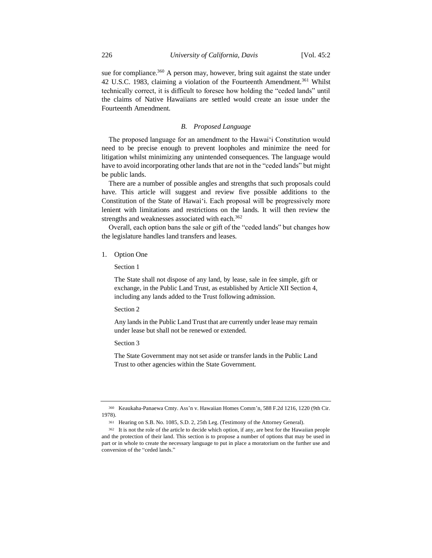sue for compliance.<sup>360</sup> A person may, however, bring suit against the state under 42 U.S.C. 1983, claiming a violation of the Fourteenth Amendment.<sup>361</sup> Whilst technically correct, it is difficult to foresee how holding the "ceded lands" until the claims of Native Hawaiians are settled would create an issue under the Fourteenth Amendment.

## *B. Proposed Language*

The proposed language for an amendment to the Hawaiʻi Constitution would need to be precise enough to prevent loopholes and minimize the need for litigation whilst minimizing any unintended consequences. The language would have to avoid incorporating other lands that are not in the "ceded lands" but might be public lands.

There are a number of possible angles and strengths that such proposals could have. This article will suggest and review five possible additions to the Constitution of the State of Hawaiʻi. Each proposal will be progressively more lenient with limitations and restrictions on the lands. It will then review the strengths and weaknesses associated with each.<sup>362</sup>

Overall, each option bans the sale or gift of the "ceded lands" but changes how the legislature handles land transfers and leases.

1. Option One

Section 1

The State shall not dispose of any land, by lease, sale in fee simple, gift or exchange, in the Public Land Trust, as established by Article XII Section 4, including any lands added to the Trust following admission.

Section 2

Any lands in the Public Land Trust that are currently under lease may remain under lease but shall not be renewed or extended.

Section 3

The State Government may not set aside or transfer lands in the Public Land Trust to other agencies within the State Government.

<sup>360</sup> Keaukaha-Panaewa Cmty. Ass'n v. Hawaiian Homes Comm'n, 588 F.2d 1216, 1220 (9th Cir. 1978).

<sup>361</sup> Hearing on S.B. No. 1085, S.D. 2, 25th Leg. (Testimony of the Attorney General).

<sup>362</sup> It is not the role of the article to decide which option, if any, are best for the Hawaiian people and the protection of their land. This section is to propose a number of options that may be used in part or in whole to create the necessary language to put in place a moratorium on the further use and conversion of the "ceded lands."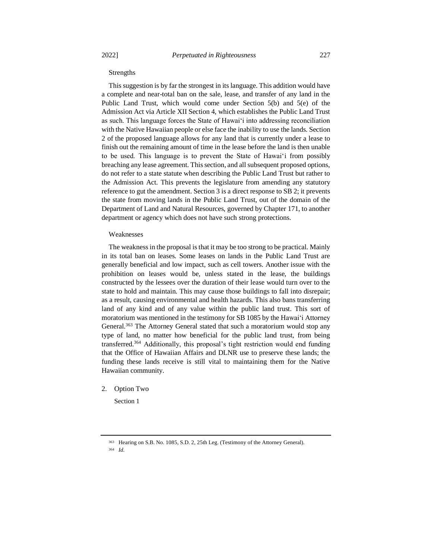#### Strengths

This suggestion is by far the strongest in its language. This addition would have a complete and near-total ban on the sale, lease, and transfer of any land in the Public Land Trust, which would come under Section 5(b) and 5(e) of the Admission Act via Article XII Section 4, which establishes the Public Land Trust as such. This language forces the State of Hawaiʻi into addressing reconciliation with the Native Hawaiian people or else face the inability to use the lands. Section 2 of the proposed language allows for any land that is currently under a lease to finish out the remaining amount of time in the lease before the land is then unable to be used. This language is to prevent the State of Hawaiʻi from possibly breaching any lease agreement. This section, and all subsequent proposed options, do not refer to a state statute when describing the Public Land Trust but rather to the Admission Act. This prevents the legislature from amending any statutory reference to gut the amendment. Section 3 is a direct response to SB 2; it prevents the state from moving lands in the Public Land Trust, out of the domain of the Department of Land and Natural Resources, governed by Chapter 171, to another department or agency which does not have such strong protections.

#### Weaknesses

The weakness in the proposal is that it may be too strong to be practical. Mainly in its total ban on leases. Some leases on lands in the Public Land Trust are generally beneficial and low impact, such as cell towers. Another issue with the prohibition on leases would be, unless stated in the lease, the buildings constructed by the lessees over the duration of their lease would turn over to the state to hold and maintain. This may cause those buildings to fall into disrepair; as a result, causing environmental and health hazards. This also bans transferring land of any kind and of any value within the public land trust. This sort of moratorium was mentioned in the testimony for SB 1085 by the Hawaiʻi Attorney General.<sup>363</sup> The Attorney General stated that such a moratorium would stop any type of land, no matter how beneficial for the public land trust, from being transferred.<sup>364</sup> Additionally, this proposal's tight restriction would end funding that the Office of Hawaiian Affairs and DLNR use to preserve these lands; the funding these lands receive is still vital to maintaining them for the Native Hawaiian community.

2. Option Two

Section 1

<sup>363</sup> Hearing on S.B. No. 1085, S.D. 2, 25th Leg. (Testimony of the Attorney General).

<sup>364</sup> *Id.*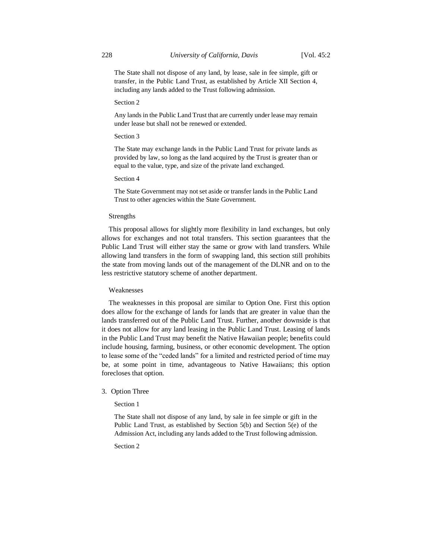The State shall not dispose of any land, by lease, sale in fee simple, gift or transfer, in the Public Land Trust, as established by Article XII Section 4, including any lands added to the Trust following admission.

#### Section 2

Any lands in the Public Land Trust that are currently under lease may remain under lease but shall not be renewed or extended.

## Section 3

The State may exchange lands in the Public Land Trust for private lands as provided by law, so long as the land acquired by the Trust is greater than or equal to the value, type, and size of the private land exchanged.

## Section 4

The State Government may not set aside or transfer lands in the Public Land Trust to other agencies within the State Government.

## Strengths

This proposal allows for slightly more flexibility in land exchanges, but only allows for exchanges and not total transfers. This section guarantees that the Public Land Trust will either stay the same or grow with land transfers. While allowing land transfers in the form of swapping land, this section still prohibits the state from moving lands out of the management of the DLNR and on to the less restrictive statutory scheme of another department.

#### Weaknesses

The weaknesses in this proposal are similar to Option One. First this option does allow for the exchange of lands for lands that are greater in value than the lands transferred out of the Public Land Trust. Further, another downside is that it does not allow for any land leasing in the Public Land Trust. Leasing of lands in the Public Land Trust may benefit the Native Hawaiian people; benefits could include housing, farming, business, or other economic development. The option to lease some of the "ceded lands" for a limited and restricted period of time may be, at some point in time, advantageous to Native Hawaiians; this option forecloses that option.

## 3. Option Three

Section 1

The State shall not dispose of any land, by sale in fee simple or gift in the Public Land Trust, as established by Section 5(b) and Section 5(e) of the Admission Act, including any lands added to the Trust following admission.

Section 2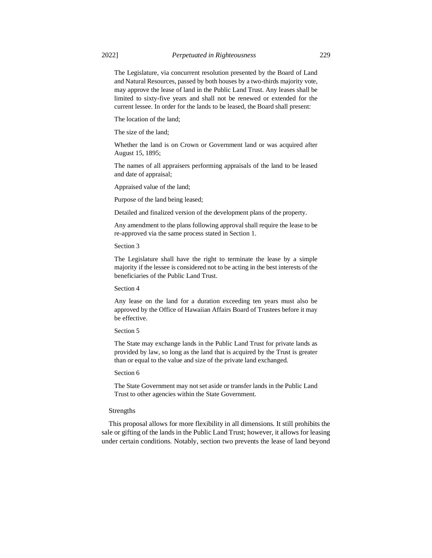The Legislature, via concurrent resolution presented by the Board of Land and Natural Resources, passed by both houses by a two-thirds majority vote, may approve the lease of land in the Public Land Trust. Any leases shall be limited to sixty-five years and shall not be renewed or extended for the current lessee. In order for the lands to be leased, the Board shall present:

The location of the land;

The size of the land;

Whether the land is on Crown or Government land or was acquired after August 15, 1895;

The names of all appraisers performing appraisals of the land to be leased and date of appraisal;

Appraised value of the land;

Purpose of the land being leased;

Detailed and finalized version of the development plans of the property.

Any amendment to the plans following approval shall require the lease to be re-approved via the same process stated in Section 1.

Section 3

The Legislature shall have the right to terminate the lease by a simple majority if the lessee is considered not to be acting in the best interests of the beneficiaries of the Public Land Trust.

Section 4

Any lease on the land for a duration exceeding ten years must also be approved by the Office of Hawaiian Affairs Board of Trustees before it may be effective.

#### Section 5

The State may exchange lands in the Public Land Trust for private lands as provided by law, so long as the land that is acquired by the Trust is greater than or equal to the value and size of the private land exchanged.

#### Section 6

The State Government may not set aside or transfer lands in the Public Land Trust to other agencies within the State Government.

#### Strengths

This proposal allows for more flexibility in all dimensions. It still prohibits the sale or gifting of the lands in the Public Land Trust; however, it allows for leasing under certain conditions. Notably, section two prevents the lease of land beyond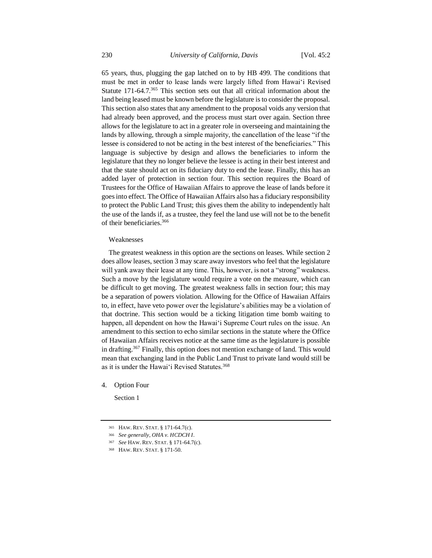65 years, thus, plugging the gap latched on to by HB 499. The conditions that must be met in order to lease lands were largely lifted from Hawaiʻi Revised Statute 171-64.7.<sup>365</sup> This section sets out that all critical information about the land being leased must be known before the legislature is to consider the proposal. This section also states that any amendment to the proposal voids any version that had already been approved, and the process must start over again. Section three allows for the legislature to act in a greater role in overseeing and maintaining the lands by allowing, through a simple majority, the cancellation of the lease "if the lessee is considered to not be acting in the best interest of the beneficiaries." This language is subjective by design and allows the beneficiaries to inform the legislature that they no longer believe the lessee is acting in their best interest and that the state should act on its fiduciary duty to end the lease. Finally, this has an added layer of protection in section four. This section requires the Board of Trustees for the Office of Hawaiian Affairs to approve the lease of lands before it goes into effect. The Office of Hawaiian Affairs also has a fiduciary responsibility to protect the Public Land Trust; this gives them the ability to independently halt the use of the lands if, as a trustee, they feel the land use will not be to the benefit of their beneficiaries.<sup>366</sup>

### Weaknesses

The greatest weakness in this option are the sections on leases. While section 2 does allow leases, section 3 may scare away investors who feel that the legislature will yank away their lease at any time. This, however, is not a "strong" weakness. Such a move by the legislature would require a vote on the measure, which can be difficult to get moving. The greatest weakness falls in section four; this may be a separation of powers violation. Allowing for the Office of Hawaiian Affairs to, in effect, have veto power over the legislature's abilities may be a violation of that doctrine. This section would be a ticking litigation time bomb waiting to happen, all dependent on how the Hawaiʻi Supreme Court rules on the issue. An amendment to this section to echo similar sections in the statute where the Office of Hawaiian Affairs receives notice at the same time as the legislature is possible in drafting.<sup>367</sup> Finally, this option does not mention exchange of land. This would mean that exchanging land in the Public Land Trust to private land would still be as it is under the Hawai'i Revised Statutes.<sup>368</sup>

4. Option Four

Section 1

<sup>365</sup> HAW. REV. STAT. § 171-64.7(c).

<sup>366</sup> *See generally*, *OHA v. HCDCH I*.

<sup>367</sup> *See* HAW. REV. STAT. § 171-64.7(c).

<sup>368</sup> HAW. REV. STAT. § 171-50.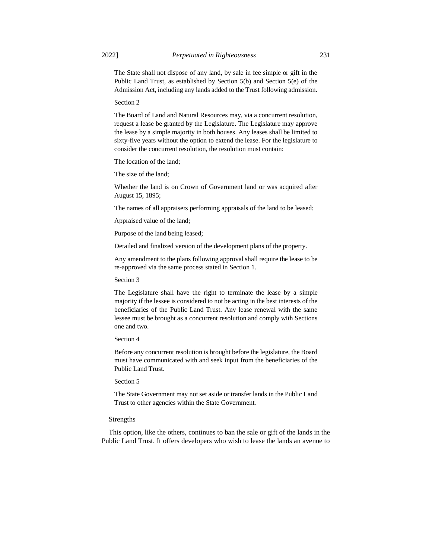The State shall not dispose of any land, by sale in fee simple or gift in the Public Land Trust, as established by Section 5(b) and Section 5(e) of the Admission Act, including any lands added to the Trust following admission.

Section 2

The Board of Land and Natural Resources may, via a concurrent resolution, request a lease be granted by the Legislature. The Legislature may approve the lease by a simple majority in both houses. Any leases shall be limited to sixty-five years without the option to extend the lease. For the legislature to consider the concurrent resolution, the resolution must contain:

The location of the land;

The size of the land;

Whether the land is on Crown of Government land or was acquired after August 15, 1895;

The names of all appraisers performing appraisals of the land to be leased;

Appraised value of the land;

Purpose of the land being leased;

Detailed and finalized version of the development plans of the property.

Any amendment to the plans following approval shall require the lease to be re-approved via the same process stated in Section 1.

Section 3

The Legislature shall have the right to terminate the lease by a simple majority if the lessee is considered to not be acting in the best interests of the beneficiaries of the Public Land Trust. Any lease renewal with the same lessee must be brought as a concurrent resolution and comply with Sections one and two.

Section 4

Before any concurrent resolution is brought before the legislature, the Board must have communicated with and seek input from the beneficiaries of the Public Land Trust.

Section 5

The State Government may not set aside or transfer lands in the Public Land Trust to other agencies within the State Government.

## Strengths

This option, like the others, continues to ban the sale or gift of the lands in the Public Land Trust. It offers developers who wish to lease the lands an avenue to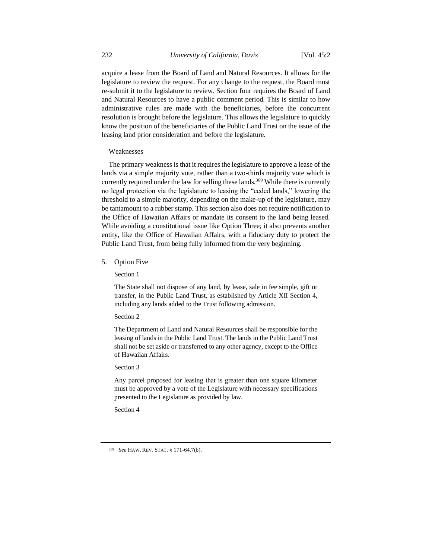acquire a lease from the Board of Land and Natural Resources. It allows for the legislature to review the request. For any change to the request, the Board must re-submit it to the legislature to review. Section four requires the Board of Land and Natural Resources to have a public comment period. This is similar to how administrative rules are made with the beneficiaries, before the concurrent resolution is brought before the legislature. This allows the legislature to quickly know the position of the beneficiaries of the Public Land Trust on the issue of the leasing land prior consideration and before the legislature.

#### Weaknesses

The primary weakness is that it requires the legislature to approve a lease of the lands via a simple majority vote, rather than a two-thirds majority vote which is currently required under the law for selling these lands.<sup>369</sup> While there is currently no legal protection via the legislature to leasing the "ceded lands," lowering the threshold to a simple majority, depending on the make-up of the legislature, may be tantamount to a rubber stamp. This section also does not require notification to the Office of Hawaiian Affairs or mandate its consent to the land being leased. While avoiding a constitutional issue like Option Three; it also prevents another entity, like the Office of Hawaiian Affairs, with a fiduciary duty to protect the Public Land Trust, from being fully informed from the very beginning.

5. Option Five

Section 1

The State shall not dispose of any land, by lease, sale in fee simple, gift or transfer, in the Public Land Trust, as established by Article XII Section 4, including any lands added to the Trust following admission.

#### Section 2

The Department of Land and Natural Resources shall be responsible for the leasing of lands in the Public Land Trust. The lands in the Public Land Trust shall not be set aside or transferred to any other agency, except to the Office of Hawaiian Affairs.

## Section 3

Any parcel proposed for leasing that is greater than one square kilometer must be approved by a vote of the Legislature with necessary specifications presented to the Legislature as provided by law.

Section 4

<sup>369</sup> *See* HAW. REV. STAT. § 171-64.7(b).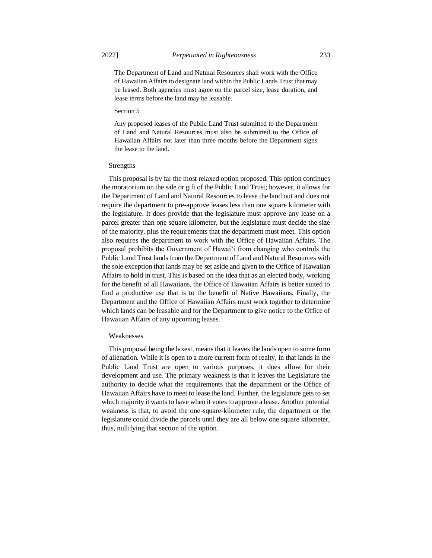The Department of Land and Natural Resources shall work with the Office of Hawaiian Affairs to designate land within the Public Lands Trust that may be leased. Both agencies must agree on the parcel size, lease duration, and lease terms before the land may be leasable.

#### Section 5

Any proposed leases of the Public Land Trust submitted to the Department of Land and Natural Resources must also be submitted to the Office of Hawaiian Affairs not later than three months before the Department signs the lease to the land.

## Strengths

This proposal is by far the most relaxed option proposed. This option continues the moratorium on the sale or gift of the Public Land Trust; however, it allows for the Department of Land and Natural Resources to lease the land out and does not require the department to pre-approve leases less than one square kilometer with the legislature. It does provide that the legislature must approve any lease on a parcel greater than one square kilometer, but the legislature must decide the size of the majority, plus the requirements that the department must meet. This option also requires the department to work with the Office of Hawaiian Affairs. The proposal prohibits the Government of Hawaiʻi from changing who controls the Public Land Trust lands from the Department of Land and Natural Resources with the sole exception that lands may be set aside and given to the Office of Hawaiian Affairs to hold in trust. This is based on the idea that as an elected body, working for the benefit of all Hawaiians, the Office of Hawaiian Affairs is better suited to find a productive use that is to the benefit of Native Hawaiians. Finally, the Department and the Office of Hawaiian Affairs must work together to determine which lands can be leasable and for the Department to give notice to the Office of Hawaiian Affairs of any upcoming leases.

#### Weaknesses

This proposal being the laxest, means that it leaves the lands open to some form of alienation. While it is open to a more current form of realty, in that lands in the Public Land Trust are open to various purposes, it does allow for their development and use. The primary weakness is that it leaves the Legislature the authority to decide what the requirements that the department or the Office of Hawaiian Affairs have to meet to lease the land. Further, the legislature gets to set which majority it wants to have when it votes to approve a lease. Another potential weakness is that, to avoid the one-square-kilometer rule, the department or the legislature could divide the parcels until they are all below one square kilometer, thus, nullifying that section of the option.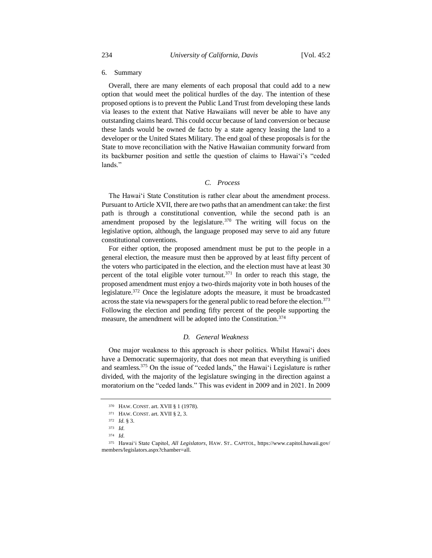## 6. Summary

Overall, there are many elements of each proposal that could add to a new option that would meet the political hurdles of the day. The intention of these proposed options is to prevent the Public Land Trust from developing these lands via leases to the extent that Native Hawaiians will never be able to have any outstanding claims heard. This could occur because of land conversion or because these lands would be owned de facto by a state agency leasing the land to a developer or the United States Military. The end goal of these proposals is for the State to move reconciliation with the Native Hawaiian community forward from its backburner position and settle the question of claims to Hawaiʻi's "ceded lands."

## *C. Process*

The Hawaiʻi State Constitution is rather clear about the amendment process. Pursuant to Article XVII, there are two paths that an amendment can take: the first path is through a constitutional convention, while the second path is an amendment proposed by the legislature. $370$  The writing will focus on the legislative option, although, the language proposed may serve to aid any future constitutional conventions.

For either option, the proposed amendment must be put to the people in a general election, the measure must then be approved by at least fifty percent of the voters who participated in the election, and the election must have at least 30 percent of the total eligible voter turnout.<sup>371</sup> In order to reach this stage, the proposed amendment must enjoy a two-thirds majority vote in both houses of the legislature.<sup>372</sup> Once the legislature adopts the measure, it must be broadcasted across the state via newspapers for the general public to read before the election.<sup>373</sup> Following the election and pending fifty percent of the people supporting the measure, the amendment will be adopted into the Constitution.<sup>374</sup>

## *D. General Weakness*

One major weakness to this approach is sheer politics. Whilst Hawaiʻi does have a Democratic supermajority, that does not mean that everything is unified and seamless.<sup>375</sup> On the issue of "ceded lands," the Hawaiʻi Legislature is rather divided, with the majority of the legislature swinging in the direction against a moratorium on the "ceded lands." This was evident in 2009 and in 2021. In 2009

<sup>370</sup> HAW. CONST. art. XVII § 1 (1978).

<sup>371</sup> HAW. CONST. art. XVII § 2, 3.

<sup>372</sup> *Id.* § 3.

<sup>373</sup> *Id.*

<sup>374</sup> *Id.*

<sup>375</sup> Hawaiʻi State Capitol, *All Legislators*, HAW. ST.. CAPITOL, https://www.capitol.hawaii.gov/ members/legislators.aspx?chamber=all.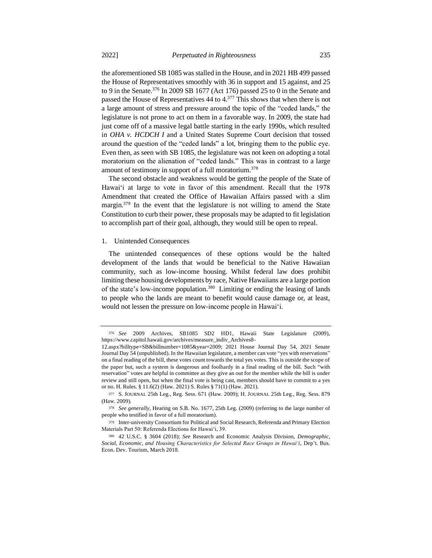the aforementioned SB 1085 was stalled in the House, and in 2021 HB 499 passed the House of Representatives smoothly with 36 in support and 15 against, and 25 to 9 in the Senate.<sup>376</sup> In 2009 SB 1677 (Act 176) passed 25 to 0 in the Senate and passed the House of Representatives 44 to 4.<sup>377</sup> This shows that when there is not a large amount of stress and pressure around the topic of the "ceded lands," the legislature is not prone to act on them in a favorable way. In 2009, the state had just come off of a massive legal battle starting in the early 1990s, which resulted in *OHA v. HCDCH I* and a United States Supreme Court decision that tossed around the question of the "ceded lands" a lot, bringing them to the public eye. Even then, as seen with SB 1085, the legislature was not keen on adopting a total moratorium on the alienation of "ceded lands." This was in contrast to a large amount of testimony in support of a full moratorium.<sup>378</sup>

The second obstacle and weakness would be getting the people of the State of Hawaiʻi at large to vote in favor of this amendment. Recall that the 1978 Amendment that created the Office of Hawaiian Affairs passed with a slim margin.<sup>379</sup> In the event that the legislature is not willing to amend the State Constitution to curb their power, these proposals may be adapted to fit legislation to accomplish part of their goal, although, they would still be open to repeal.

#### 1. Unintended Consequences

The unintended consequences of these options would be the halted development of the lands that would be beneficial to the Native Hawaiian community, such as low-income housing. Whilst federal law does prohibit limiting these housing developments by race, Native Hawaiians are a large portion of the state's low-income population.<sup>380</sup> Limiting or ending the leasing of lands to people who the lands are meant to benefit would cause damage or, at least, would not lessen the pressure on low-income people in Hawaiʻi.

<sup>376</sup> *See* 2009 Archives, SB1085 SD2 HD1, Hawaii State Legislature (2009), https://www.capitol.hawaii.gov/archives/measure\_indiv\_Archives8-

<sup>12.</sup>aspx?billtype=SB&billnumber=1085&year=2009; 2021 House Journal Day 54, 2021 Senate Journal Day 54 (unpublished). In the Hawaiian legislature, a member can vote "yes with reservations" on a final reading of the bill, these votes count towards the total yes votes. This is outside the scope of the paper but, such a system is dangerous and foolhardy in a final reading of the bill. Such "with reservation" votes are helpful in committee as they give an out for the member while the bill is under review and still open, but when the final vote is being cast, members should have to commit to a yes or no. H. Rules. § 11.6(2) (Haw. 2021) S. Rules § 71(1) (Haw. 2021).

<sup>377</sup> S. JOURNAL 25th Leg., Reg. Sess. 671 (Haw. 2009); H. JOURNAL 25th Leg., Reg. Sess. 879 (Haw. 2009).

<sup>378</sup> *See generally*, Hearing on S.B. No. 1677, 25th Leg. (2009) (referring to the large number of people who testified in favor of a full moratorium).

<sup>379</sup> Inter-university Consortium for Political and Social Research, Referenda and Primary Election Materials Part 50: Referenda Elections for Hawaiʻi, 39.

<sup>380</sup> 42 U.S.C. § 3604 (2018); *See* Research and Economic Analysis Division, *Demographic, Social, Economic, and Housing Characteristics for Selected Race Groups in Hawaiʻi*, Dep't. Bus. Econ. Dev. Tourism, March 2018.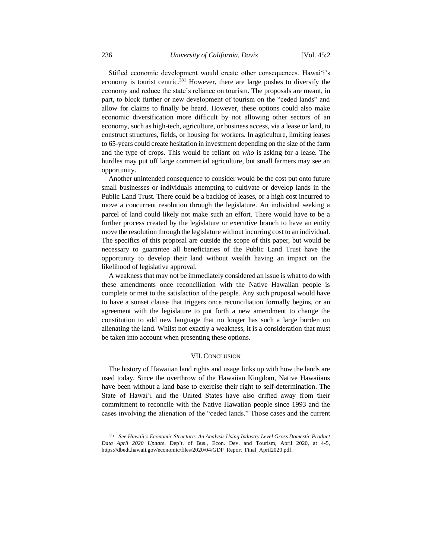Stifled economic development would create other consequences. Hawaiʻi's economy is tourist centric.<sup>381</sup> However, there are large pushes to diversify the economy and reduce the state's reliance on tourism. The proposals are meant, in part, to block further or new development of tourism on the "ceded lands" and allow for claims to finally be heard. However, these options could also make economic diversification more difficult by not allowing other sectors of an economy, such as high-tech, agriculture, or business access, via a lease or land, to construct structures, fields, or housing for workers. In agriculture, limiting leases to 65-years could create hesitation in investment depending on the size of the farm and the type of crops. This would be reliant on *who* is asking for a lease. The hurdles may put off large commercial agriculture, but small farmers may see an opportunity.

Another unintended consequence to consider would be the cost put onto future small businesses or individuals attempting to cultivate or develop lands in the Public Land Trust. There could be a backlog of leases, or a high cost incurred to move a concurrent resolution through the legislature. An individual seeking a parcel of land could likely not make such an effort. There would have to be a further process created by the legislature or executive branch to have an entity move the resolution through the legislature without incurring cost to an individual. The specifics of this proposal are outside the scope of this paper, but would be necessary to guarantee all beneficiaries of the Public Land Trust have the opportunity to develop their land without wealth having an impact on the likelihood of legislative approval.

A weakness that may not be immediately considered an issue is what to do with these amendments once reconciliation with the Native Hawaiian people is complete or met to the satisfaction of the people. Any such proposal would have to have a sunset clause that triggers once reconciliation formally begins, or an agreement with the legislature to put forth a new amendment to change the constitution to add new language that no longer has such a large burden on alienating the land. Whilst not exactly a weakness, it is a consideration that must be taken into account when presenting these options.

# VII.CONCLUSION

The history of Hawaiian land rights and usage links up with how the lands are used today. Since the overthrow of the Hawaiian Kingdom, Native Hawaiians have been without a land base to exercise their right to self-determination. The State of Hawaiʻi and the United States have also drifted away from their commitment to reconcile with the Native Hawaiian people since 1993 and the cases involving the alienation of the "ceded lands." Those cases and the current

<sup>381</sup> *See Hawaii's Economic Structure: An Analysis Using Industry Level Gross Domestic Product Data April 2020 Update*, Dep't. of Bus., Econ. Dev. and Tourism, April 2020, at 4-5, https://dbedt.hawaii.gov/economic/files/2020/04/GDP\_Report\_Final\_April2020.pdf.